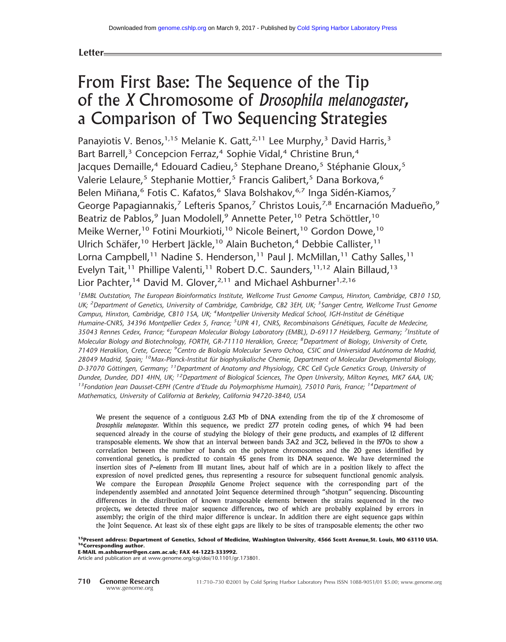**Letter**

# From First Base: The Sequence of the Tip of the *X* Chromosome of *Drosophila melanogaster*, a Comparison of Two Sequencing Strategies

Panayiotis V. Benos,  $1,15$  Melanie K. Gatt,  $2,11$  Lee Murphy, 3 David Harris, 3 Bart Barrell,<sup>3</sup> Concepcion Ferraz,<sup>4</sup> Sophie Vidal,<sup>4</sup> Christine Brun,<sup>4</sup> Jacques Demaille,<sup>4</sup> Edouard Cadieu,<sup>5</sup> Stephane Dreano,<sup>5</sup> Stéphanie Gloux,<sup>5</sup> Valerie Lelaure,<sup>5</sup> Stephanie Mottier,<sup>5</sup> Francis Galibert,<sup>5</sup> Dana Borkova,<sup>6</sup> Belen Miñana,<sup>6</sup> Fotis C. Kafatos,<sup>6</sup> Slava Bolshakov,<sup>6,7</sup> Inga Sidén-Kiamos,<sup>7</sup> George Papagiannakis,<sup>7</sup> Lefteris Spanos,<sup>7</sup> Christos Louis,<sup>7,8</sup> Encarnación Madueño,<sup>9</sup> Beatriz de Pablos,<sup>9</sup> Juan Modolell,<sup>9</sup> Annette Peter,<sup>10</sup> Petra Schöttler,<sup>10</sup> Meike Werner,<sup>10</sup> Fotini Mourkioti,<sup>10</sup> Nicole Beinert,<sup>10</sup> Gordon Dowe,<sup>10</sup> Ulrich Schäfer,<sup>10</sup> Herbert Jäckle,<sup>10</sup> Alain Bucheton,<sup>4</sup> Debbie Callister,<sup>11</sup> Lorna Campbell,<sup>11</sup> Nadine S. Henderson,<sup>11</sup> Paul J. McMillan,<sup>11</sup> Cathy Salles,<sup>11</sup> Evelyn Tait,<sup>11</sup> Phillipe Valenti,<sup>11</sup> Robert D.C. Saunders,<sup>11,12</sup> Alain Billaud,<sup>13</sup> Lior Pachter,<sup>14</sup> David M. Glover,<sup>2,11</sup> and Michael Ashburner<sup>1,2,16</sup>

*1 EMBL Outstation, The European Bioinformatics Institute, Wellcome Trust Genome Campus, Hinxton, Cambridge, CB10 1SD, UK; <sup>2</sup> Department of Genetics, University of Cambridge, Cambridge, CB2 3EH, UK; <sup>3</sup> Sanger Centre, Wellcome Trust Genome* Campus, Hinxton, Cambridge, CB10 1SA, UK; <sup>4</sup>Montpellier University Medical School, IGH-Institut de Génétique Humaine-CNRS, 34396 Montpellier Cedex 5, France; <sup>5</sup>UPR 41, CNRS, Recombinaisons Génétiques, Faculte de Medecine, *35043 Rennes Cedex, France; <sup>6</sup> European Molecular Biology Laboratory (EMBL), D-69117 Heidelberg, Germany; <sup>7</sup> Institute of Molecular Biology and Biotechnology, FORTH, GR-71110 Heraklion, Greece; <sup>8</sup> Department of Biology, University of Crete, 71409 Heraklion, Crete, Greece; <sup>9</sup> Centro de Biologı´a Molecular Severo Ochoa, CSIC and Universidad Auto´noma de Madrid, 28049 Madrid, Spain; 10Max-Planck-Institut fu¨r biophysikalische Chemie, Department of Molecular Developmental Biology, D-37070 Go¨ttingen, Germany; 11Department of Anatomy and Physiology, CRC Cell Cycle Genetics Group, University of Dundee, Dundee, DD1 4HN, UK; 12Department of Biological Sciences, The Open University, Milton Keynes, MK7 6AA, UK; 13Fondation Jean Dausset-CEPH (Centre d'Etude du Polymorphisme Humain), 75010 Paris, France; 14Department of Mathematics, University of California at Berkeley, California 94720-3840, USA*

We present the sequence of a contiguous 2.63 Mb of DNA extending from the tip of the *X* chromosome of *Drosophila melanogaster.* Within this sequence, we predict 277 protein coding genes, of which 94 had been sequenced already in the course of studying the biology of their gene products, and examples of 12 different transposable elements. We show that an interval between bands 3A2 and 3C2, believed in the 1970s to show a correlation between the number of bands on the polytene chromosomes and the 20 genes identified by conventional genetics, is predicted to contain 45 genes from its DNA sequence. We have determined the insertion sites of *P-elements* from 111 mutant lines, about half of which are in a position likely to affect the expression of novel predicted genes, thus representing a resource for subsequent functional genomic analysis. We compare the European *Drosophila* Genome Project sequence with the corresponding part of the independently assembled and annotated Joint Sequence determined through "shotgun" sequencing. Discounting differences in the distribution of known transposable elements between the strains sequenced in the two projects, we detected three major sequence differences, two of which are probably explained by errors in assembly; the origin of the third major difference is unclear. In addition there are eight sequence gaps within the Joint Sequence. At least six of these eight gaps are likely to be sites of transposable elements; the other two

<sup>15</sup>Present address: Department of Genetics, School of Medicine, Washington University, 4566 Scott Avenue,St. Louis, MO 63110 USA.<br><sup>16</sup>Corresponding author.

**E-MAIL m.ashburner@gen.cam.ac.uk; FAX 44-1223-333992.**

Article and publication are at www.genome.org/cgi/doi/10.1101/gr.173801.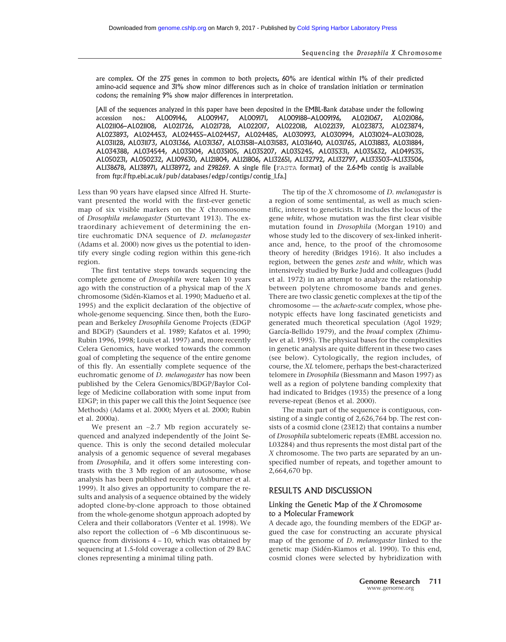are complex. Of the 275 genes in common to both projects, 60% are identical within 1% of their predicted amino-acid sequence and 31% show minor differences such as in choice of translation initiation or termination codons; the remaining 9% show major differences in interpretation.

[All of the sequences analyzed in this paper have been deposited in the EMBL-Bank database under the following accession nos.: AL009146, AL009147, AL009171, AL009188–AL009196, AL021067, AL021086, AL021106–AL021108, AL021726, AL021728, AL022017, AL022018, AL022139, AL023873, AL023874, AL023893, AL024453, AL024455–AL024457, AL024485, AL030993, AL030994, AL031024–AL031028, AL031128, AL031173, AL031366, AL031367, AL031581–AL031583, AL031640, AL031765, AL031883, AL031884, AL034388, AL034544, AL035104, AL035105, AL035207, AL035245, AL035331, AL035632, AL049535, AL050231, AL050232, AL109630, AL121804, AL121806, AL132651, AL132792, AL132797, AL133503–AL133506, AL138678, AL138971, AL138972, and Z98269. A single file (FASTA format) of the 2.6-Mb contig is available from ftp://ftp.ebi.ac.uk/pub/databases/edgp/contigs/contig\_1.fa.]

Less than 90 years have elapsed since Alfred H. Sturtevant presented the world with the first-ever genetic map of six visible markers on the *X* chromosome of *Drosophila melanogaster* (Sturtevant 1913). The extraordinary achievement of determining the entire euchromatic DNA sequence of *D. melanogaster* (Adams et al. 2000) now gives us the potential to identify every single coding region within this gene-rich region.

The first tentative steps towards sequencing the complete genome of *Drosophila* were taken 10 years ago with the construction of a physical map of the *X* chromosome (Side´n-Kiamos et al. 1990; Madueño et al. 1995) and the explicit declaration of the objective of whole-genome sequencing. Since then, both the European and Berkeley *Drosophila* Genome Projects (EDGP and BDGP) (Saunders et al. 1989; Kafatos et al. 1990; Rubin 1996, 1998; Louis et al. 1997) and, more recently Celera Genomics, have worked towards the common goal of completing the sequence of the entire genome of this fly. An essentially complete sequence of the euchromatic genome of *D. melanogaster* has now been published by the Celera Genomics/BDGP/Baylor College of Medicine collaboration with some input from EDGP; in this paper we call this the Joint Sequence (see Methods) (Adams et al. 2000; Myers et al. 2000; Rubin et al. 2000a).

We present an ∼2.7 Mb region accurately sequenced and analyzed independently of the Joint Sequence. This is only the second detailed molecular analysis of a genomic sequence of several megabases from *Drosophila*, and it offers some interesting contrasts with the 3 Mb region of an autosome, whose analysis has been published recently (Ashburner et al. 1999). It also gives an opportunity to compare the results and analysis of a sequence obtained by the widely adopted clone-by-clone approach to those obtained from the whole-genome shotgun approach adopted by Celera and their collaborators (Venter et al. 1998). We also report the collection of ∼6 Mb discontinuous sequence from divisions 4 – 10, which was obtained by sequencing at 1.5-fold coverage a collection of 29 BAC clones representing a minimal tiling path.

The tip of the *X* chromosome of *D. melanogaster* is a region of some sentimental, as well as much scientific, interest to geneticists. It includes the locus of the gene *white*, whose mutation was the first clear visible mutation found in *Drosophila* (Morgan 1910) and whose study led to the discovery of sex-linked inheritance and, hence, to the proof of the chromosome theory of heredity (Bridges 1916). It also includes a region, between the genes *zeste* and *white*, which was intensively studied by Burke Judd and colleagues (Judd et al. 1972) in an attempt to analyze the relationship between polytene chromosome bands and genes. There are two classic genetic complexes at the tip of the chromosome — the *achaete-scute* complex, whose phenotypic effects have long fascinated geneticists and generated much theoretical speculation (Agol 1929; García-Bellido 1979), and the *broad* complex (Zhimulev et al. 1995). The physical bases for the complexities in genetic analysis are quite different in these two cases (see below). Cytologically, the region includes, of course, the *XL* telomere, perhaps the best-characterized telomere in *Drosophila* (Biessmann and Mason 1997) as well as a region of polytene banding complexity that had indicated to Bridges (1935) the presence of a long reverse-repeat (Benos et al. 2000).

The main part of the sequence is contiguous, consisting of a single contig of 2,626,764 bp. The rest consists of a cosmid clone (23E12) that contains a number of *Drosophila* subtelomeric repeats (EMBL accession no. L03284) and thus represents the most distal part of the *X* chromosome. The two parts are separated by an unspecified number of repeats, and together amount to 2,664,670 bp.

## RESULTS AND DISCUSSION

## Linking the Genetic Map of the *X* Chromosome to a Molecular Framework

A decade ago, the founding members of the EDGP argued the case for constructing an accurate physical map of the genome of *D. melanogaster* linked to the genetic map (Sidén-Kiamos et al. 1990). To this end, cosmid clones were selected by hybridization with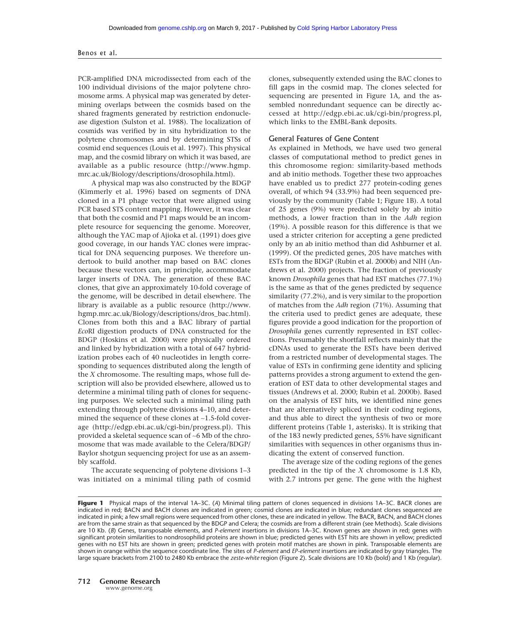PCR-amplified DNA microdissected from each of the 100 individual divisions of the major polytene chromosome arms. A physical map was generated by determining overlaps between the cosmids based on the shared fragments generated by restriction endonuclease digestion (Sulston et al. 1988). The localization of cosmids was verified by in situ hybridization to the polytene chromosomes and by determining STSs of cosmid end sequences (Louis et al. 1997). This physical map, and the cosmid library on which it was based, are available as a public resource (http://www.hgmp. mrc.ac.uk/Biology/descriptions/drosophila.html).

A physical map was also constructed by the BDGP (Kimmerly et al. 1996) based on segments of DNA cloned in a P1 phage vector that were aligned using PCR based STS content mapping. However, it was clear that both the cosmid and P1 maps would be an incomplete resource for sequencing the genome. Moreover, although the YAC map of Ajioka et al. (1991) does give good coverage, in our hands YAC clones were impractical for DNA sequencing purposes. We therefore undertook to build another map based on BAC clones because these vectors can, in principle, accommodate larger inserts of DNA. The generation of these BAC clones, that give an approximately 10-fold coverage of the genome, will be described in detail elsewhere. The library is available as a public resource (http://www. hgmp.mrc.ac.uk/Biology/descriptions/dros\_bac.html). Clones from both this and a BAC library of partial *Eco*RI digestion products of DNA constructed for the BDGP (Hoskins et al. 2000) were physically ordered and linked by hybridization with a total of 647 hybridization probes each of 40 nucleotides in length corresponding to sequences distributed along the length of the *X* chromosome. The resulting maps, whose full description will also be provided elsewhere, allowed us to determine a minimal tiling path of clones for sequencing purposes. We selected such a minimal tiling path extending through polytene divisions 4–10, and determined the sequence of these clones at ∼1.5-fold coverage (http://edgp.ebi.ac.uk/cgi-bin/progress.pl). This provided a skeletal sequence scan of ∼6 Mb of the chromosome that was made available to the Celera/BDGP/ Baylor shotgun sequencing project for use as an assembly scaffold.

The accurate sequencing of polytene divisions 1–3 was initiated on a minimal tiling path of cosmid clones, subsequently extended using the BAC clones to fill gaps in the cosmid map. The clones selected for sequencing are presented in Figure 1A, and the assembled nonredundant sequence can be directly accessed at http://edgp.ebi.ac.uk/cgi-bin/progress.pl, which links to the EMBL-Bank deposits.

## General Features of Gene Content

As explained in Methods, we have used two general classes of computational method to predict genes in this chromosome region: similarity-based methods and ab initio methods. Together these two approaches have enabled us to predict 277 protein-coding genes overall, of which 94 (33.9%) had been sequenced previously by the community (Table 1; Figure 1B). A total of 25 genes (9%) were predicted solely by ab initio methods, a lower fraction than in the *Adh* region (19%). A possible reason for this difference is that we used a stricter criterion for accepting a gene predicted only by an ab initio method than did Ashburner et al. (1999). Of the predicted genes, 205 have matches with ESTs from the BDGP (Rubin et al. 2000b) and NIH (Andrews et al. 2000) projects. The fraction of previously known *Drosophila* genes that had EST matches (77.1%) is the same as that of the genes predicted by sequence similarity (77.2%), and is very similar to the proportion of matches from the *Adh* region (71%). Assuming that the criteria used to predict genes are adequate, these figures provide a good indication for the proportion of *Drosophila* genes currently represented in EST collections. Presumably the shortfall reflects mainly that the cDNAs used to generate the ESTs have been derived from a restricted number of developmental stages. The value of ESTs in confirming gene identity and splicing patterns provides a strong argument to extend the generation of EST data to other developmental stages and tissues (Andrews et al. 2000; Rubin et al. 2000b). Based on the analysis of EST hits, we identified nine genes that are alternatively spliced in their coding regions, and thus able to direct the synthesis of two or more different proteins (Table 1, asterisks). It is striking that of the 183 newly predicted genes, 55% have significant similarities with sequences in other organisms thus indicating the extent of conserved function.

The average size of the coding regions of the genes predicted in the tip of the *X* chromosome is 1.8 Kb, with 2.7 introns per gene. The gene with the highest

**Figure 1** Physical maps of the interval 1A–3C. (*A*) Minimal tiling pattern of clones sequenced in divisions 1A–3C. BACR clones are indicated in red; BACN and BACH clones are indicated in green; cosmid clones are indicated in blue; redundant clones sequenced are indicated in pink; a few small regions were sequenced from other clones, these are indicated in yellow. The BACR, BACN, and BACH clones are from the same strain as that sequenced by the BDGP and Celera; the cosmids are from a different strain (see Methods). Scale divisions are 10 Kb. (*B*) Genes, transposable elements, and *P-element* insertions in divisions 1A–3C. Known genes are shown in red; genes with significant protein similarities to nondrosophilid proteins are shown in blue; predicted genes with EST hits are shown in yellow; predicted genes with no EST hits are shown in green; predicted genes with protein motif matches are shown in pink. Transposable elements are shown in orange within the sequence coordinate line. The sites of *P-element* and *EP-element* insertions are indicated by gray triangles. The large square brackets from 2100 to 2480 Kb embrace the *zeste*-*white* region (Figure 2). Scale divisions are 10 Kb (bold) and 1 Kb (regular).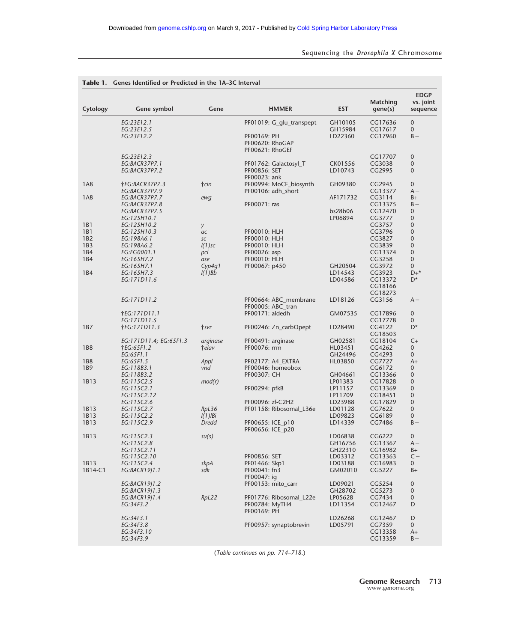|                 | <b>Table 1.</b> Genes Identified or Predicted in the 1A–3C Interval |                  |                                            |            |                               |                                      |
|-----------------|---------------------------------------------------------------------|------------------|--------------------------------------------|------------|-------------------------------|--------------------------------------|
| Cytology        | Gene symbol                                                         | Gene             | <b>HMMER</b>                               | <b>EST</b> | <b>Matching</b><br>gene(s)    | <b>EDGP</b><br>vs. joint<br>sequence |
|                 | EG:23E12.1                                                          |                  | PF01019: G_glu_transpept                   | GH10105    | CG17636                       | $\mathbf 0$                          |
|                 | EG:23E12.5                                                          |                  |                                            | GH15984    | CG17617                       | $\mathbf 0$                          |
|                 | EG:23E12.2                                                          |                  | <b>PF00169: PH</b>                         | LD22360    | CG17960                       | $B -$                                |
|                 |                                                                     |                  | PF00620: RhoGAP<br>PF00621: RhoGEF         |            |                               |                                      |
|                 | EG:23E12.3                                                          |                  |                                            |            | CG17707                       | $\boldsymbol{0}$                     |
|                 | EG:BACR37P7.1                                                       |                  | PF01762: Galactosyl T                      | CK01556    | CG3038                        | $\mathbf 0$                          |
|                 | EG:BACR37P7.2                                                       |                  | <b>PF00856: SET</b><br>PF00023: ank        | LD10743    | CG2995                        | $\mathbf 0$                          |
| 1A8             | <i><b>TEG:BACR37P7.3</b></i>                                        | †cin             | PF00994: MoCF_biosynth                     | GH09380    | CG2945                        | $\boldsymbol{0}$                     |
|                 | EG:BACR37P7.9                                                       |                  | PF00106: adh short                         |            | CG13377                       | $A -$                                |
| <b>1A8</b>      | EG:BACR37P7.7                                                       | ewq              |                                            | AF171732   | CG3114                        | $B+$                                 |
|                 | EG:BACR37P7.8                                                       |                  | PF00071: ras                               |            | CG13375                       | $B -$                                |
|                 | EG:BACR37P7.5                                                       |                  |                                            | bs28b06    | CG12470                       | $\mathbf{0}$                         |
|                 | EG:125H10.1                                                         |                  |                                            | LP06894    | CG3777                        | $\mathbf 0$                          |
| 1B1             | EG:125H10.2                                                         | y                |                                            |            | CG3757                        | $\mathbf 0$                          |
| 1B1             | EG:125H10.3                                                         | ac               | <b>PF00010: HLH</b>                        |            | CG3796                        | $\mathbf{0}$                         |
| 1B2             | EG:198A6.1                                                          | SC               | <b>PF00010: HLH</b>                        |            | CG3827                        | $\mathbf 0$                          |
| 1B3             | EG:198A6.2                                                          | $I(1)$ sc        | <b>PF00010: HLH</b>                        |            | CG3839                        | $\mathbf 0$                          |
| 1 <sub>B4</sub> | EG:EG0001.1                                                         | pcl              | PF00026: asp                               |            | CG13374                       | $\mathbf 0$                          |
| 1 <sub>B4</sub> | EG:165H7.2                                                          | ase              | <b>PF00010: HLH</b>                        |            | CG3258                        | $\mathbf{0}$                         |
|                 | EG:165H7.1                                                          | Cyp4q1           | PF00067: p450                              | GH20504    | CG3972                        | $\mathbf 0$                          |
| 1 <sub>B4</sub> | EG:165H7.3                                                          | $I(1)$ Bb        |                                            | LD14543    | CG3923                        | $D+*$                                |
|                 | EG:171D11.6                                                         |                  |                                            | LD04586    | CG13372<br>CG18166<br>CG18273 | $D^*$                                |
|                 | EG:171D11.2                                                         |                  | PF00664: ABC membrane<br>PF00005: ABC_tran | LD18126    | CG3156                        | $A -$                                |
|                 | $\frac{1}{2}EG:171D11.1$<br>EG:171D11.5                             |                  | PF00171: aldedh                            | GM07535    | CG17896<br>CG17778            | $\mathbf 0$<br>$\mathbf{0}$          |
| 1 <sub>B7</sub> | $\frac{1}{2}$ EG:171D11.3                                           | t <sub>svr</sub> | PF00246: Zn_carbOpept                      | LD28490    | CG4122<br>CG18503             | $D^*$                                |
|                 | EG:171D11.4; EG:65F1.3                                              | arginase         | PF00491: arginase                          | GH02581    | CG18104                       | $C+$                                 |
| 1 <sub>B8</sub> | tEG:65F1.2                                                          | telav            | PF00076: rrm                               | HL03451    | CG4262                        | $\mathbf{0}$                         |
|                 | EG:65F1.1                                                           |                  |                                            | GH24496    | CG4293                        | $\mathbf{0}$                         |
| 1 <sub>B8</sub> | EG:65F1.5                                                           | Appl             | PF02177: A4 EXTRA                          | HL03850    | CG7727                        | $A+$                                 |
| 1 <sub>B9</sub> | EG:118B3.1                                                          | vnd              | PF00046: homeobox                          |            | CG6172                        | $\mathbf 0$                          |
|                 | EG:118B3.2                                                          |                  | PF00307: CH                                | GH04661    | CG13366                       | $\mathbf{0}$                         |
| 1B13            | EG:115C2.5                                                          | mod(r)           |                                            | LP01383    | CG17828                       | $\mathbf 0$                          |
|                 | EG:115C2.1                                                          |                  | PF00294: pfkB                              | LP11157    | CG13369                       | $\mathbf{0}$                         |
|                 | EG:115C2.12                                                         |                  |                                            | LP11709    | CG18451                       | $\mathbf 0$                          |
|                 | EG:115C2.6                                                          |                  | PF00096: zf-C2H2                           | LD23988    | CG17829                       | $\mathbf{0}$                         |
| 1B13            | EG:115C2.7                                                          | RpL36            | PF01158: Ribosomal_L36e                    | LD01128    | CG7622                        | $\mathbf{0}$                         |
| 1B13            | EG:115C2.2                                                          | $I(1)$ IBi       |                                            | LD09823    | CG6189                        | $\mathbf{0}$                         |
| 1B13            | EG:115C2.9                                                          | Dredd            | PF00655: ICE p10<br>PF00656: ICE_p20       | LD14339    | CG7486                        | $B -$                                |
| 1B13            | EG:115C2.3                                                          | su(s)            |                                            | LD06838    | CG6222                        | $\overline{0}$                       |
|                 | EG:115C2.8                                                          |                  |                                            | GH16756    | CG13367                       | $A -$                                |
|                 | EG:115C2.11                                                         |                  |                                            | GH22310    | CG16982                       | B+                                   |
|                 | EG:115C2.10                                                         |                  | PF00856: SET                               | LD03312    | CG13363                       | $C -$                                |
| 1B13            | EG:115C2.4                                                          | skpA             | PF01466: Skp1                              | LD03188    | CG16983                       | $\overline{0}$                       |
| 1B14-C1         | EG:BACR19J1.1                                                       | sdk              | PF00041: fn3<br>PF00047: ig                | GM02010    | CG5227                        | B+                                   |
|                 | EG:BACR19J1.2                                                       |                  | PF00153: mito_carr                         | LD09021    | CG5254                        | $\mathbf 0$                          |
|                 | EG:BACR19J1.3                                                       |                  |                                            | GH28702    | CG5273                        | $\mathbf 0$                          |
|                 | EG:BACR19 1.4                                                       | RpL22            | PF01776: Ribosomal L22e                    | LP05628    | CG7434                        | $\mathbf 0$                          |
|                 | EG:34F3.2                                                           |                  | PF00784: MyTH4<br><b>PF00169: PH</b>       | LD11354    | CG12467                       | D                                    |
|                 | EG:34F3.1                                                           |                  |                                            | LD26268    | CG12467                       | D                                    |
|                 | EG:34F3.8                                                           |                  | PF00957: synaptobrevin                     | LD05791    | CG7359                        | $\overline{0}$                       |
|                 | EG:34F3.10                                                          |                  |                                            |            | CG13358                       | A+                                   |
|                 | EG:34F3.9                                                           |                  |                                            |            | CG13359                       | $B -$                                |

(*Table continues on pp. 714–718.*)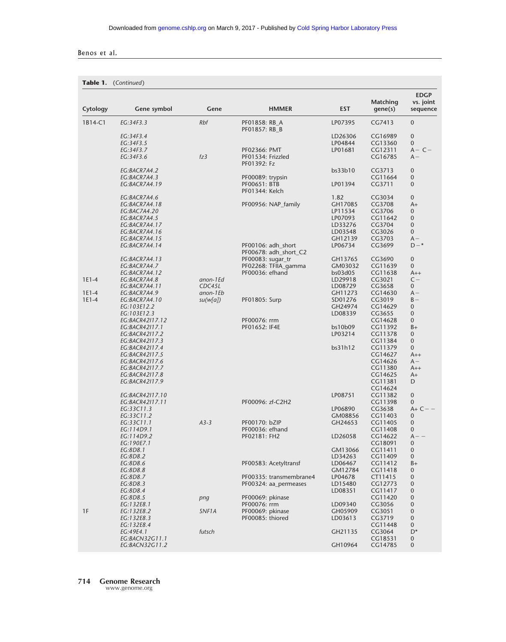| Cytology       | Gene symbol                   | Gene                 | <b>HMMER</b>                                | <b>EST</b>         | Matching<br>gene(s) | <b>EDGP</b><br>vs. joint<br>sequence |
|----------------|-------------------------------|----------------------|---------------------------------------------|--------------------|---------------------|--------------------------------------|
| 1B14-C1        | EG: 34F3.3                    | <b>Rbf</b>           | PF01858: RB_A<br>PF01857: RB_B              | LP07395            | CG7413              | 0                                    |
|                | EG:34F3.4                     |                      |                                             | LD26306            | CG16989             | $\mathbf 0$                          |
|                | EG:34F3.5                     |                      |                                             | LP04844            | CG13360             | 0                                    |
|                | EG:34F3.7                     |                      | <b>PF02366: PMT</b>                         | LP01681            | CG12311             | $A - C -$                            |
|                | EG:34F3.6                     | fz3                  | PF01534: Frizzled<br>PF01392: Fz            |                    | CG16785             | $A -$                                |
|                | EG:BACR7A4.2                  |                      |                                             | bs33b10            | CG3713              | 0                                    |
|                | EG:BACR7A4.3                  |                      | PF00089: trypsin                            |                    | CG11664             | 0                                    |
|                | EG:BACR7A4.19                 |                      | <b>PF00651: BTB</b><br>PF01344: Kelch       | LP01394            | CG3711              | 0                                    |
|                | EG:BACR7A4.6                  |                      |                                             | 1.82               | CG3034              | 0                                    |
|                | EG:BACR7A4.18                 |                      | PF00956: NAP_family                         | GH17085            | CG3708              | $A+$                                 |
|                | EG:BAC7A4.20                  |                      |                                             | LP11534            | CG3706              | 0                                    |
|                | EG:BACR7A4.5                  |                      |                                             | LP07093            | CG11642             | 0                                    |
|                | EG:BACR7A4.17                 |                      |                                             | LD33276            | CG3704              | 0                                    |
|                | EG:BACR7A4.16                 |                      |                                             | LD03548            | CG3026              | 0                                    |
|                | EG:BACR7A4.15                 |                      |                                             | GH12139            | CG3703              | $A -$                                |
|                | EG:BACR7A4.14                 |                      | PF00106: adh short<br>PF00678: adh_short_C2 | LP06734            | CG3699              | $D -$ *                              |
|                | EG:BACR7A4.13                 |                      | PF00083: sugar_tr                           | GH13765            | CG3690              | 0                                    |
|                | EG:BACR7A4.7                  |                      | PF02268: TFIIA_gamma                        | GM03032            | CG11639             | 0                                    |
|                | EG:BACR7A4.12                 |                      | PF00036: efhand                             | bs03d05            | CG11638             | $A++$                                |
| 1E1-4          | EG:BACR7A4.8                  | anon-1Ed             |                                             | LD29918            | CG3021              | $C -$                                |
|                | EG:BACR7A4.11                 | CDC45L               |                                             | LD08729<br>GH11273 | CG3658              | $\overline{0}$<br>$A -$              |
| 1E1-4<br>1E1-4 | EG:BACR7A4.9<br>EG:BACR7A4.10 | anon-1Eb<br>su(w[a]) | PF01805: Surp                               | SD01276            | CG14630<br>CG3019   | $B -$                                |
|                | EG:103E12.2                   |                      |                                             | GH24974            | CG14629             | 0                                    |
|                | EG:103E12.3                   |                      |                                             | LD08339            | CG3655              | 0                                    |
|                | EG:BACR42117.12               |                      | PF00076: rrm                                |                    | CG14628             | 0                                    |
|                | EG:BACR42117.1                |                      | PF01652: IF4E                               | bs10b09            | CG11392             | $B+$                                 |
|                | EG:BACR42117.2                |                      |                                             | LP03214            | CG11378             | 0                                    |
|                | EG:BACR42117.3                |                      |                                             |                    | CG11384             | 0                                    |
|                | EG:BACR42117.4                |                      |                                             | bs31h12            | CG11379             | $\overline{0}$                       |
|                | EG:BACR42117.5                |                      |                                             |                    | CG14627             | $A++$                                |
|                | EG:BACR42117.6                |                      |                                             |                    | CG14626             | $A -$                                |
|                | EG:BACR42117.7                |                      |                                             |                    | CG11380             | $A++$                                |
|                | EG:BACR42117.8                |                      |                                             |                    | CG14625             | A+                                   |
|                | EG:BACR42117.9                |                      |                                             |                    | CG11381             | D                                    |
|                |                               |                      |                                             |                    | CG14624             |                                      |
|                | EG:BACR42117.10               |                      |                                             | LP08751            | CG11382             | 0                                    |
|                | EG:BACR42117.11<br>EG:33C11.3 |                      | PF00096: zf-C2H2                            | LP06890            | CG11398             | 0<br>$A + C - -$                     |
|                | EG:33C11.2                    |                      |                                             | GM08856            | CG3638<br>CG11403   | $\overline{0}$                       |
|                | EG:33C11.1                    | $A3-3$               | PF00170: bZIP                               | GH24653            | CG11405             | 0                                    |
|                | EG:114D9.1                    |                      | PF00036: efhand                             |                    | CG11408             | 0                                    |
|                | EG:114D9.2                    |                      | PF02181: FH2                                | LD26058            | CG14622             | A – –                                |
|                | EG:190E7.1                    |                      |                                             |                    | CG18091             | 0                                    |
|                | EG:8D8.1                      |                      |                                             | GM13066            | CG11411             | 0                                    |
|                | EG:8D8.2                      |                      |                                             | LD34263            | CG11409             | 0                                    |
|                | EG:8D8.6                      |                      | PF00583: Acetyltransf                       | LD06467            | CG11412             | $B+$                                 |
|                | EG:8D8.8                      |                      |                                             | GM12784            | CG11418             | 0                                    |
|                | EG:8D8.7                      |                      | PF00335: transmembrane4                     | LP04678            | CT11415             | 0                                    |
|                | EG:8D8.3                      |                      | PF00324: aa_permeases                       | LD15480            | CG12773             | 0                                    |
|                | EG:8D8.4                      |                      |                                             | LD08351            | CG11417             | 0                                    |
|                | EG:8D8.5                      | png                  | PF00069: pkinase                            |                    | CG11420             | 0                                    |
| 1F             | EG:132E8.1                    |                      | PF00076: rrm<br>PF00069: pkinase            | LD09340            | CG3056<br>CG3051    | 0                                    |
|                | EG:132E8.2<br>EG:132E8.3      | SNF1A                | PF00085: thiored                            | GH05909<br>LD03613 | CG3719              | 0<br>0                               |
|                | EG:132E8.4                    |                      |                                             |                    | CG11448             | 0                                    |
|                | EG:49E4.1                     | futsch               |                                             | GH21135            | CG3064              | D*                                   |
|                | EG:BACN32G11.1                |                      |                                             |                    | CG18531             | 0                                    |
|                | EG:BACN32G11.2                |                      |                                             | GH10964            | CG14785             | 0                                    |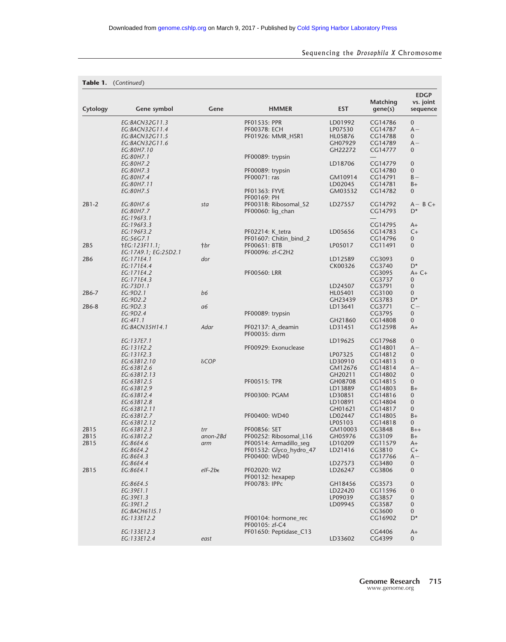| Cytology        | Gene symbol              | Gene                 | <b>HMMER</b>                                  | <b>EST</b> | <b>Matching</b><br>gene(s) | <b>EDGP</b><br>vs. joint<br>sequence |
|-----------------|--------------------------|----------------------|-----------------------------------------------|------------|----------------------------|--------------------------------------|
|                 | EG:BACN32G11.3           |                      | <b>PF01535: PPR</b>                           | LD01992    | CG14786                    | 0                                    |
|                 | EG:BACN32G11.4           |                      | PF00378: ECH                                  | LP07530    | CG14787                    | $A -$                                |
|                 | EG:BACN32G11.5           |                      | PF01926: MMR_HSR1                             | HL05876    | CG14788                    | $\mathbf{0}$                         |
|                 | EG:BACN32G11.6           |                      |                                               | GH07929    | CG14789                    | $A -$                                |
|                 | EG:80H7.10               |                      |                                               | GH22272    | CG14777                    | $\mathbf{0}$                         |
|                 | EG:80H7.1                |                      | PF00089: trypsin                              |            |                            |                                      |
|                 | EG:80H7.2                |                      |                                               | LD18706    | CG14779                    | $\mathbf 0$                          |
|                 | EG:80H7.3                |                      | PF00089: trypsin                              |            | CG14780                    | $\mathbf{0}$                         |
|                 | EG:80H7.4                |                      | PF00071: ras                                  | GM10914    | CG14791                    | $B -$                                |
|                 | EG:80H7.11               |                      |                                               | LD02045    | CG14781                    | $B+$                                 |
|                 | EG:80H7.5                |                      | <b>PF01363: FYVE</b>                          | GM03532    | CG14782                    | 0                                    |
|                 |                          |                      | <b>PF00169: PH</b>                            |            |                            |                                      |
| $2B1 - 2$       | EG:80H7.6                | sta                  | PF00318: Ribosomal_S2                         | LD27557    | CG14792                    | $A - B C +$                          |
|                 | EG:80H7.7                |                      | PF00060: lig_chan                             |            | CG14793                    | D <sup>*</sup>                       |
|                 | EG:196F3.1<br>EG:196F3.3 |                      |                                               |            |                            |                                      |
|                 |                          |                      |                                               | LD05656    | CG14795                    | A+                                   |
|                 | EG:196F3.2               |                      | PF02214: K_tetra                              |            | CG14783                    | $C+$                                 |
|                 | EG:56G7.1                |                      | PF01607: Chitin bind 2<br><b>PF00651: BTB</b> |            | CG14796                    | 0<br>$\mathbf{0}$                    |
| 2B <sub>5</sub> | $\ddagger$ EG:123F11.1;  | †br                  |                                               | LP05017    | CG11491                    |                                      |
|                 | EG:17A9.1; EG:25D2.1     |                      | PF00096: zf-C2H2                              | LD12589    |                            | $\mathbf 0$                          |
| 2B6             | EG:171E4.1               | dor                  |                                               | CK00326    | CG3093<br>CG3740           | D <sup>*</sup>                       |
|                 | EG:171E4.4<br>EG:171E4.2 |                      |                                               |            | CG3095                     | $A + C +$                            |
|                 | EG:171E4.3               |                      | <b>PF00560: LRR</b>                           |            | CG3737                     | $\mathbf{0}$                         |
|                 | EG:73D1.1                |                      |                                               | LD24507    | CG3791                     | 0                                    |
| 2B6-7           | EG: 9D2.1                | b6                   |                                               | HL05401    | CG3100                     | $\mathbf{0}$                         |
|                 | EG:9D2.2                 |                      |                                               | GH23439    | CG3783                     | D*                                   |
| 2B6-8           | EG:9D2.3                 | a6                   |                                               | LD13641    | CG3771                     | $C -$                                |
|                 | EG: 9D2.4                |                      | PF00089: trypsin                              |            | CG3795                     | 0                                    |
|                 | EG:4F1.1                 |                      |                                               | GH21860    | CG14808                    | $\overline{0}$                       |
|                 | EG:BACN35H14.1           | Adar                 | PF02137: A deamin<br>PF00035: dsrm            | LD31451    | CG12598                    | A+                                   |
|                 | EG:137E7.1               |                      |                                               | LD19625    | CG17968                    | $\mathbf 0$                          |
|                 | EG:131F2.2               |                      | PF00929: Exonuclease                          |            | CG14801                    | $A -$                                |
|                 | EG:131F2.3               |                      |                                               | LP07325    | CG14812                    | 0                                    |
|                 | EG:63B12.10              | $\delta$ COP         |                                               | LD30910    | CG14813                    | 0                                    |
|                 | EG:63B12.6               |                      |                                               | GM12676    | CG14814                    | $A -$                                |
|                 | EG:63B12.13              |                      |                                               | GH20211    | CG14802                    | 0                                    |
|                 | EG:63B12.5               |                      | <b>PF00515: TPR</b>                           | GH08708    | CG14815                    | $\mathbf 0$                          |
|                 | EG:63B12.9               |                      |                                               | LD13889    | CG14803                    | $B+$                                 |
|                 | EG:63B12.4               |                      | <b>PF00300: PGAM</b>                          | LD30851    | CG14816                    | 0                                    |
|                 | EG:63B12.8               |                      |                                               | LD10891    | CG14804                    | 0                                    |
|                 | EG:63B12.11              |                      |                                               | GH01621    | CG14817                    | 0                                    |
|                 | EG:63B12.7               |                      | PF00400: WD40                                 | LD02447    | CG14805                    | B+                                   |
|                 | EG:63B12.12              |                      |                                               | LP05103    | CG14818                    | $\mathbf 0$                          |
| 2B15            | EG:63B12.3               | trr                  | PF00856: SET                                  | GM10003    | CG3848                     | B++                                  |
| 2B15            | EG:63B12.2               | anon-2Bd             | PF00252: Ribosomal L16                        | GH05976    | CG3109                     | B+                                   |
| 2B15            | EG:86E4.6                | arm                  | PF00514: Armadillo seq                        | LD10209    | CG11579                    | A+                                   |
|                 | EG:86E4.2                |                      | PF01532: Glyco hydro 47                       | LD21416    | CG3810                     | $C+$                                 |
|                 | EG:86E4.3                |                      | PF00400: WD40                                 |            | CG17766                    | $A -$                                |
|                 | EG:86E4.4                |                      |                                               | LD27573    | CG3480                     | 0                                    |
| 2B15            | EG:86E4.1                | $e$ IF-2b $\epsilon$ | PF02020: W2<br>PF00132: hexapep               | LD26247    | CG3806                     | 0                                    |
|                 | EG:86E4.5                |                      | PF00783: IPPc                                 | GH18456    | CG3573                     | $\boldsymbol{0}$                     |
|                 | EG:39E1.1                |                      |                                               | LD22420    | CG11596                    | $\mathbf 0$                          |
|                 | EG:39E1.3                |                      |                                               | LP09039    | CG3857                     | 0                                    |
|                 | EG:39E1.2                |                      |                                               | LD09945    | CG3587                     | $\mathbf 0$                          |
|                 | EG:BACH6115.1            |                      |                                               |            | CG3600                     | 0                                    |
|                 | EG:133E12.2              |                      | PF00104: hormone rec                          |            | CG16902                    | D <sup>*</sup>                       |
|                 |                          |                      | PF00105: zf-C4                                |            |                            |                                      |
|                 | EG:133E12.3              |                      | PF01650: Peptidase_C13                        |            | CG4406                     | $A+$                                 |
|                 | EG:133E12.4              | east                 |                                               | LD33602    | CG4399                     | $\overline{0}$                       |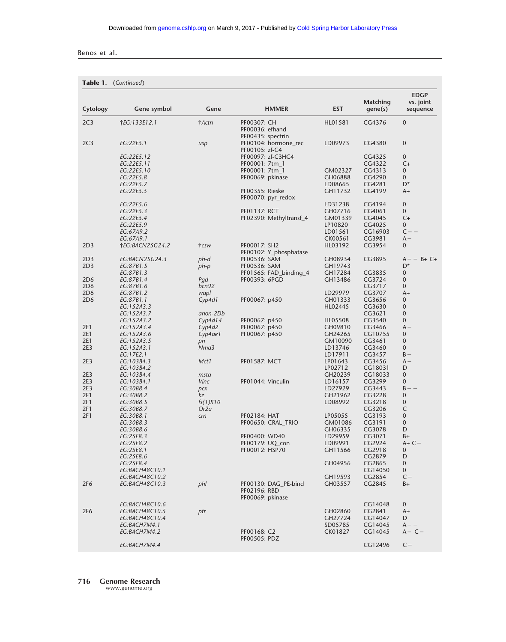|                                    | <b>Table 1.</b> (Continued)      |            |                                                             |                    |                     |                                      |
|------------------------------------|----------------------------------|------------|-------------------------------------------------------------|--------------------|---------------------|--------------------------------------|
| Cytology                           | Gene symbol                      | Gene       | <b>HMMER</b>                                                | <b>EST</b>         | Matching<br>gene(s) | <b>EDGP</b><br>vs. joint<br>sequence |
| 2C <sub>3</sub>                    | fEG:133E12.1                     | †Actn      | PF00307: CH                                                 | HL01581            | CG4376              | $\mathbf 0$                          |
|                                    |                                  |            | PF00036: efhand                                             |                    |                     |                                      |
| 2C <sub>3</sub>                    | EG:22E5.1                        | usp        | PF00435: spectrin<br>PF00104: hormone rec<br>PF00105: zf-C4 | LD09973            | CG4380              | $\mathbf 0$                          |
|                                    | EG:22E5.12                       |            | PF00097: zf-C3HC4                                           |                    | CG4325              | $\mathbf 0$                          |
|                                    | EG:22E5.11                       |            | PF00001: 7tm 1                                              |                    | CG4322              | $C+$                                 |
|                                    | EG:22E5.10                       |            | PF00001: 7tm 1                                              | GM02327            | CG4313              | 0                                    |
|                                    | EG:22E5.8                        |            | PF00069: pkinase                                            | GH06888            | CG4290              | $\mathbf 0$                          |
|                                    | EG:22E5.7                        |            |                                                             | LD08665            | CG4281              | D*                                   |
|                                    | EG:22E5.5                        |            | PF00355: Rieske<br>PF00070: pyr_redox                       | GH11732            | CG4199              | A+                                   |
|                                    | EG:22E5.6                        |            |                                                             | LD31238            | CG4194              | $\mathbf 0$                          |
|                                    | EG:22E5.3                        |            | <b>PF01137: RCT</b>                                         | GH07716            | CG4061              | 0                                    |
|                                    | EG:22E5.4                        |            | PF02390: Methyltransf_4                                     | GM01339            | CG4045              | $C+$                                 |
|                                    | EG:22E5.9                        |            |                                                             | LP10820            | CG4025              | 0                                    |
|                                    | EG:67A9.2                        |            |                                                             | LD01561            | CG16903             | $C - -$                              |
|                                    | EG:67A9.1                        |            |                                                             | CK00561            | CG3981              | $A -$                                |
| 2D <sub>3</sub>                    | <i><b>†EG:BACN25G24.2</b></i>    | †csw       | PF00017: SH2                                                | HL03192            | CG3954              | $\mathbf{0}$                         |
|                                    |                                  |            | PF00102: Y_phosphatase                                      |                    |                     |                                      |
| 2D <sub>3</sub><br>2D <sub>3</sub> | EG:BACN25G24.3<br>EG:87B1.5      | $ph-d$     | PF00536: SAM                                                | GH08934<br>GH19743 | CG3895              | $- B + C +$<br>$A -$<br>D*           |
|                                    | EG:87B1.3                        | ph-p       | PF00536: SAM<br>PF01565: FAD binding 4                      | GH17284            | CG3835              | $\mathbf 0$                          |
| 2D <sub>6</sub>                    | EG:87B1.4                        | Pad        | PF00393: 6PGD                                               | GH13486            | CG3724              | 0                                    |
| 2D <sub>6</sub>                    | EG:87B1.6                        | bcn92      |                                                             |                    | CG3717              | 0                                    |
| 2D <sub>6</sub>                    | EG:87B1.2                        | wapl       |                                                             | LD29979            | CG3707              | A+                                   |
| 2D <sub>6</sub>                    | EG:87B1.1                        | Cyp4d1     | PF00067: p450                                               | GH01333            | CG3656              | 0                                    |
|                                    | EG:152A3.3                       |            |                                                             | HL02445            | CG3630              | 0                                    |
|                                    | EG:152A3.7                       | anon-2Db   |                                                             |                    | CG3621              | 0                                    |
|                                    | EG:152A3.2                       | Cyp4d14    | PF00067: p450                                               | HL05508            | CG3540              | $\mathbf{0}$                         |
| 2E1                                | EG:152A3.4                       | Cyp4d2     | PF00067: p450                                               | GH09810            | CG3466              | $A -$                                |
| 2E1<br>2E1                         | EG:152A3.6<br>EG:152A3.5         | Cyp4ae1    | PF00067: p450                                               | GH24265<br>GM10090 | CG10755<br>CG3461   | 0<br>0                               |
| 2E3                                | EG:152A3.1                       | pn<br>Nmd3 |                                                             | LD13746            | CG3460              | 0                                    |
|                                    | EG:17E2.1                        |            |                                                             | LD17911            | CG3457              | $B -$                                |
| 2E3                                | EG:103B4.3                       | Mct1       | <b>PF01587: MCT</b>                                         | LP01643            | CG3456              | $A -$                                |
|                                    | EG:103B4.2                       |            |                                                             | LP02712            | CG18031             | D                                    |
| 2E3                                | EG:103B4.4                       | msta       |                                                             | GH20239            | CG18033             | 0                                    |
| 2E3                                | EG:103B4.1                       | Vinc       | PF01044: Vinculin                                           | LD16157            | CG3299              | $\mathbf 0$                          |
| 2E3                                | EG:30B8.4                        | pcx        |                                                             | LD27929            | CG3443              | B                                    |
| 2F1                                | EG:30B8.2                        | kz         |                                                             | GH21962            | CG3228              | $\boldsymbol{0}$                     |
| 2F1<br>2F1                         | EG:30B8.5                        | fs(1)K10   |                                                             | LD08992            | CG3218              | 0<br>C                               |
| 2F1                                | EG:30B8.7<br>EG:30B8.1           | Or2a       | PF02184: HAT                                                | LP05055            | CG3206<br>CG3193    | $\mathbf 0$                          |
|                                    | EG:30B8.3                        | crn        | PF00650: CRAL TRIO                                          | GM01086            | CG3191              | $\mathbf 0$                          |
|                                    | EG:30B8.6                        |            |                                                             | GH06335            | CG3078              | D                                    |
|                                    | EG:25E8.3                        |            | PF00400: WD40                                               | LD29959            | CG3071              | B+                                   |
|                                    | EG:25E8.2                        |            | PF00179: UQ con                                             | LD09991            | CG2924              | $A + C -$                            |
|                                    | EG:25E8.1                        |            | PF00012: HSP70                                              | GH11566            | CG2918              | $\mathbf 0$                          |
|                                    | EG:25E8.6                        |            |                                                             |                    | CG2879              | D                                    |
|                                    | EG:25E8.4                        |            |                                                             | GH04956            | CG2865              | 0                                    |
|                                    | EG:BACH48C10.1                   |            |                                                             |                    | CG14050             | 0                                    |
| 2F6                                | EG:BACH48C10.2<br>EG:BACH48C10.3 | phl        | PF00130: DAG PE-bind                                        | GH19593<br>GH03557 | CG2854<br>CG2845    | $C -$<br>B+                          |
|                                    |                                  |            | PF02196: RBD<br>PF00069: pkinase                            |                    |                     |                                      |
|                                    | EG:BACH48C10.6                   |            |                                                             |                    | CG14048             | $\overline{0}$                       |
| 2F6                                | EG:BACH48C10.5                   | ptr        |                                                             | GH02860            | CG2841              | $A+$                                 |
|                                    | EG:BACH48C10.4                   |            |                                                             | GH27724            | CG14047             | D                                    |
|                                    | EG:BACH7M4.1                     |            |                                                             | SD05785            | CG14045             | $A - -$                              |
|                                    | EG:BACH7M4.2                     |            | PF00168: C2                                                 | CK01827            | CG14045             | $A - C -$                            |
|                                    |                                  |            | PF00505: PDZ                                                |                    |                     |                                      |
|                                    | EG:BACH7M4.4                     |            |                                                             |                    | CG12496             | $C -$                                |

**716 Genome Research**<br>www.genome.org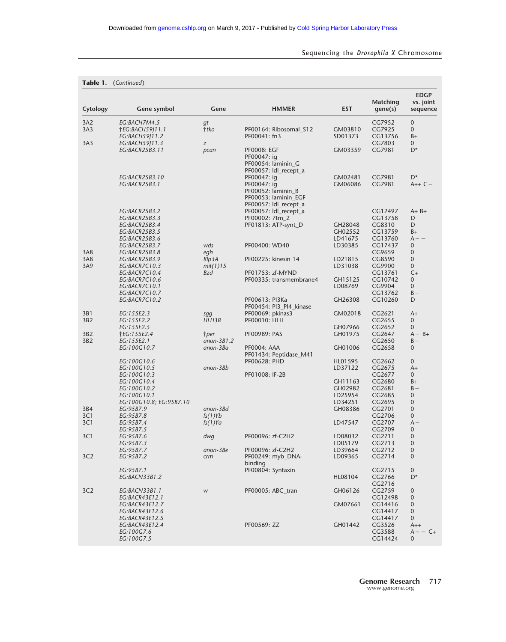|                 | Gene symbol                                                  | Gene                 | <b>HMMER</b>                                                                                      | <b>EST</b>         | Matching<br>gene(s)         | vs. joint<br>sequence       |
|-----------------|--------------------------------------------------------------|----------------------|---------------------------------------------------------------------------------------------------|--------------------|-----------------------------|-----------------------------|
| 3A2             | EG:BACH7M4.5                                                 | gt                   |                                                                                                   |                    | CG7952                      | 0                           |
| 3A <sub>3</sub> | <i><b>†EG:BACH59111.1</b></i>                                | $t$ tko              | PF00164: Ribosomal S12                                                                            | GM03810            | CG7925                      | $\overline{0}$              |
|                 | EG:BACH59 11.2                                               |                      | PF00041: fn3                                                                                      | SD01373            | CG13756                     | $B+$                        |
| 3A3             | EG:BACH59 11.3                                               | $\boldsymbol{Z}$     |                                                                                                   |                    | CG7803                      | 0                           |
|                 | EG:BACR25B3.11                                               | pcan                 | <b>PF0008: EGF</b><br>PF00047: ig<br>PF00054: laminin G<br>PF00057: Idl_recept_a                  | GM03359            | CG7981                      | D <sup>*</sup>              |
|                 | EG:BACR25B3.10<br>EG:BACR25B3.1                              |                      | PF00047: ig<br>PF00047: ig<br>PF00052: laminin B<br>PF00053: laminin EGF<br>PF00057: Idl_recept_a | GM02481<br>GM06086 | CG7981<br>CG7981            | D*<br>$A++ C-$              |
|                 | EG:BACR25B3.2                                                |                      | PF00057: Idl recept a                                                                             |                    | CG12497                     | $A + B +$                   |
|                 | EG:BACR25B3.3                                                |                      | PF00002: 7tm 2                                                                                    |                    | CG13758                     | D                           |
|                 | EG:BACR25B3.4                                                |                      | PF01813: ATP-synt_D                                                                               | GH28048            | CG8310                      | D                           |
|                 | EG:BACR25B3.5                                                |                      |                                                                                                   | GH02552            | CG13759                     | $B+$                        |
|                 | EG:BACR25B3.6                                                |                      |                                                                                                   | LD41675            | CG13760                     | $A - -$                     |
|                 | EG:BACR25B3.7                                                | wds                  | PF00400: WD40                                                                                     | LD30385            | CG17437                     | $\overline{0}$              |
| 3A8             | EG:BACR25B3.8                                                | egh                  |                                                                                                   |                    | CG9659                      | 0                           |
| 3A8             | EG:BACR25B3.9                                                | Klp3A                | PF00225: kinesin 14                                                                               | LD21815            | CG8590                      | 0                           |
| 3A9             | EG:BACR7C10.3                                                | mit(1)15             |                                                                                                   | LD31038            | CG9900                      | $\overline{0}$              |
|                 | EG:BACR7C10.4                                                | <b>Bzd</b>           | PF01753: zf-MYND                                                                                  | GH15125            | CG13761                     | $C+$<br>$\overline{0}$      |
|                 | EG:BACR7C10.6<br>EG:BACR7C10.1                               |                      | PF00335: transmembrane4                                                                           | LD08769            | CG10742<br>CG9904           | $\overline{0}$              |
|                 | EG:BACR7C10.7                                                |                      |                                                                                                   |                    | CG13762                     | $B -$                       |
|                 | EG:BACR7C10.2                                                |                      | PF00613: PI3Ka<br>PF00454: PI3 PI4 kinase                                                         | GH26308            | CG10260                     | D                           |
| 3B1             | EG:155E2.3                                                   | sgg                  | PF00069: pkinas3                                                                                  | GM02018            | CG2621                      | $A+$                        |
| 3B <sub>2</sub> | EG:155E2.2                                                   | HLH3B                | <b>PF00010: HLH</b>                                                                               |                    | CG2655                      | $\overline{0}$              |
| 3B <sub>2</sub> | EG:155E2.5                                                   |                      |                                                                                                   | GH07966<br>GH01975 | CG2652<br>CG2647            | $\overline{0}$<br>$A - B +$ |
| 3B2             | fEG:155E2.4<br>EG:155E2.1                                    | †per<br>$anon-3B1.2$ | PF00989: PAS                                                                                      |                    | CG2650                      | $B -$                       |
|                 | EG:100G10.7                                                  | anon-3Ba             | PF0004: AAA<br>PF01434: Peptidase_M41                                                             | GH01006            | CG2658                      | $\overline{0}$              |
|                 | EG:100G10.6                                                  |                      | PF00628: PHD                                                                                      | HL01595            | CG2662                      | $\overline{0}$              |
|                 | EG:100G10.5                                                  | anon-3Bb             |                                                                                                   | LD37122            | CG2675                      | $A+$                        |
|                 | EG:100G10.3                                                  |                      | PF01008: IF-2B                                                                                    |                    | CG2677                      | 0                           |
|                 | EG:100G10.4                                                  |                      |                                                                                                   | GH11163            | CG2680                      | $B+$                        |
|                 | EG:100G10.2                                                  |                      |                                                                                                   | GH02982            | CG2681<br>CG2685            | $B -$                       |
|                 | EG:100G10.1<br>EG:100G10.8; EG:95B7.10                       |                      |                                                                                                   | LD25954<br>LD34251 | CG2695                      | 0<br>0                      |
| 3B4             | EG:95B7.9                                                    | $anon-3Bd$           |                                                                                                   | GH08386            | CG2701                      | 0                           |
| 3C1             | EG:95B7.8                                                    | fs(1)Yb              |                                                                                                   |                    | CG2706                      | $\Omega$                    |
| 3C1             | EG:95B7.4                                                    | $fs(1)$ Ya           |                                                                                                   | LD47547            | CG2707                      | $A -$                       |
|                 | EG:95B7.5                                                    |                      |                                                                                                   |                    | CG2709                      | 0                           |
| 3C1             | EG:95B7.6                                                    | dwg                  | PF00096: zf-C2H2                                                                                  | LD08032            | CG2711                      | 0                           |
|                 | EG:95B7.3                                                    |                      |                                                                                                   | LD05179            | CG2713                      | 0                           |
| 3C <sub>2</sub> | EG:95B7.7<br>EG:95B7.2                                       | anon-3Be<br>crm      | PF00096: zf-C2H2<br>PF00249: myb DNA-<br>binding                                                  | LD39664<br>LD09365 | CG2712<br>CG2714            | 0<br>0                      |
|                 | EG:95B7.1<br>EG:BACN33B1.2                                   |                      | PF00804: Syntaxin                                                                                 | HL08104            | CG2715<br>CG2766<br>CG2716  | 0<br>D*                     |
| 3C <sub>2</sub> | EG:BACN33B1.1<br>EG:BACR43E12.1                              | ${\it W}$            | PF00005: ABC tran                                                                                 | GH06126            | CG2759<br>CG12498           | 0<br>0                      |
|                 | EG:BACR43E12.7<br>EG:BACR43E12.6                             |                      |                                                                                                   | GM07661            | CG14416<br>CG14417          | 0<br>0                      |
|                 | EG:BACR43E12.5<br>EG:BACR43E12.4<br>EG:100G7.6<br>EG:100G7.5 |                      | PF00569: ZZ                                                                                       | GH01442            | CG14417<br>CG3526<br>CG3588 | 0<br>$A++$<br>$A - - C +$   |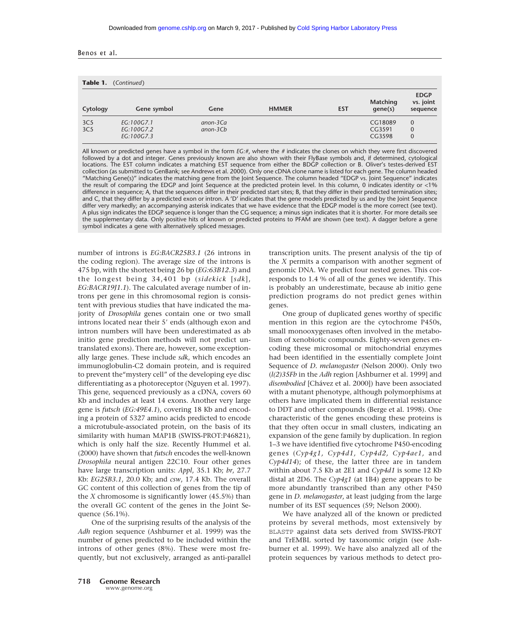|                                    | <b>Table 1.</b> (Continued)            |                          |              |            |                             |                                      |
|------------------------------------|----------------------------------------|--------------------------|--------------|------------|-----------------------------|--------------------------------------|
| Cytology                           | Gene symbol                            | Gene                     | <b>HMMER</b> | <b>EST</b> | Matching<br>qene(s)         | <b>EDGP</b><br>vs. joint<br>sequence |
| 3C <sub>5</sub><br>3C <sub>5</sub> | EG:100GZ.1<br>EG:100G7.2<br>EG:100G7.3 | $anon-3Ca$<br>$anon-3Cb$ |              |            | CG18089<br>CG3591<br>CG3598 | $\Omega$<br>$\Omega$<br>$\mathbf 0$  |

All known or predicted genes have a symbol in the form *EG:#*, where the *#* indicates the clones on which they were first discovered followed by a dot and integer. Genes previously known are also shown with their FlyBase symbols and, if determined, cytological locations. The EST column indicates a matching EST sequence from either the BDGP collection or B. Oliver's testes-derived EST collection (as submitted to GenBank; see Andrews et al. 2000). Only one cDNA clone name is listed for each gene. The column headed "Matching Gene(s)" indicates the matching gene from the Joint Sequence. The column headed "EDGP vs. Joint Sequence" indicates the result of comparing the EDGP and Joint Sequence at the predicted protein level. In this column, 0 indicates identity or <1% difference in sequence; A, that the sequences differ in their predicted start sites; B, that they differ in their predicted termination sites; and C, that they differ by a predicted exon or intron. A 'D' indicates that the gene models predicted by us and by the Joint Sequence differ very markedly; an accompanying asterisk indicates that we have evidence that the EDGP model is the more correct (see text). A plus sign indicates the EDGP sequence is longer than the CG sequence; a minus sign indicates that it is shorter. For more details see the supplementary data. Only positive hits of known or predicted proteins to PFAM are shown (see text). A dagger before a gene symbol indicates a gene with alternatively spliced messages.

number of introns is *EG:BACR25B3.1* (26 introns in the coding region). The average size of the introns is 475 bp, with the shortest being 26 bp (*EG:63B12.3*) and the longest being 34,401 bp ( *sidekick* [*sdk*], *EG:BACR19J1.1*). The calculated average number of introns per gene in this chromosomal region is consistent with previous studies that have indicated the majority of *Drosophila* genes contain one or two small introns located near their 5' ends (although exon and intron numbers will have been underestimated as ab initio gene prediction methods will not predict untranslated exons). There are, however, some exceptionally large genes. These include *sdk*, which encodes an immunoglobulin-C2 domain protein, and is required to prevent the"mystery cell" of the developing eye disc differentiating as a photoreceptor (Nguyen et al. 1997). This gene, sequenced previously as a cDNA, covers 60 Kb and includes at least 14 exons. Another very large gene is *futsch* (*EG:49E4.1*), covering 18 Kb and encoding a protein of 5327 amino acids predicted to encode a microtubule-associated protein, on the basis of its similarity with human MAP1B (SWISS-PROT:P46821), which is only half the size. Recently Hummel et al. (2000) have shown that *futsch* encodes the well-known *Drosophila* neural antigen 22C10. Four other genes have large transcription units: *Appl*, 35.1 Kb; *br*, 27.7 Kb: *EG25B3.1*, 20.0 Kb; and *csw*, 17.4 Kb. The overall GC content of this collection of genes from the tip of the *X* chromosome is significantly lower (45.5%) than the overall GC content of the genes in the Joint Sequence (56.1%).

One of the surprising results of the analysis of the *Adh* region sequence (Ashburner et al. 1999) was the number of genes predicted to be included within the introns of other genes (8%). These were most frequently, but not exclusively, arranged as anti-parallel transcription units. The present analysis of the tip of the *X* permits a comparison with another segment of genomic DNA. We predict four nested genes. This corresponds to 1.4 % of all of the genes we identify. This is probably an underestimate, because ab initio gene prediction programs do not predict genes within genes.

One group of duplicated genes worthy of specific mention in this region are the cytochrome P450s, small monooxygenases often involved in the metabolism of xenobiotic compounds. Eighty-seven genes encoding these microsomal or mitochondrial enzymes had been identified in the essentially complete Joint Sequence of *D. melanogaster* (Nelson 2000). Only two (*l(2)35Fb* in the *Adh* region [Ashburner et al. 1999] and *disembodied* [Chávez et al. 2000]) have been associated with a mutant phenotype, although polymorphisms at others have implicated them in differential resistance to DDT and other compounds (Berge et al. 1998). One characteristic of the genes encoding these proteins is that they often occur in small clusters, indicating an expansion of the gene family by duplication. In region 1–3 we have identified five cytochrome P450-encoding genes (*Cyp4g1, Cyp4d1, Cyp4d2, Cyp4ae1,* and *Cyp4d14*); of these, the latter three are in tandem within about 7.5 Kb at 2E1 and *Cyp4d1* is some 12 Kb distal at 2D6. The *Cyp4g1* (at 1B4) gene appears to be more abundantly transcribed than any other P450 gene in *D. melanogaster*, at least judging from the large number of its EST sequences (59; Nelson 2000).

We have analyzed all of the known or predicted proteins by several methods, most extensively by BLASTP against data sets derived from SWISS-PROT and TrEMBL sorted by taxonomic origin (see Ashburner et al. 1999). We have also analyzed all of the protein sequences by various methods to detect pro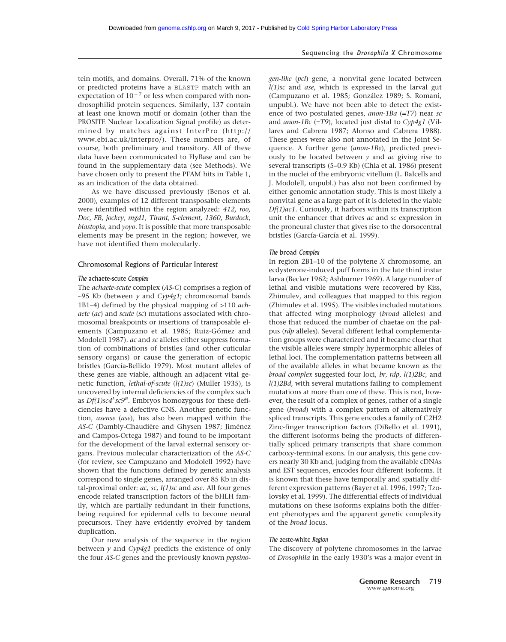tein motifs, and domains. Overall, 71% of the known or predicted proteins have a BLASTP match with an expectation of  $10^{-7}$  or less when compared with nondrosophilid protein sequences. Similarly, 137 contain at least one known motif or domain (other than the PROSITE Nuclear Localization Signal profile) as determined by matches against InterPro (http:// www.ebi.ac.uk/interpro/). These numbers are, of course, both preliminary and transitory. All of these data have been communicated to FlyBase and can be found in the supplementary data (see Methods). We have chosen only to present the PFAM hits in Table 1, as an indication of the data obtained.

As we have discussed previously (Benos et al. 2000), examples of 12 different transposable elements were identified within the region analyzed: *412, roo, Doc, FB, jockey, mgd1, Tirant, S-element, 1360, Burdock, blastopia,* and *yoyo.* It is possible that more transposable elements may be present in the region; however, we have not identified them molecularly.

## Chromosomal Regions of Particular Interest

## *The* achaete-scute *Complex*

The *achaete-scute* complex (*AS-C*) comprises a region of ∼95 Kb (between *y* and *Cyp4g1*; chromosomal bands 1B1–4) defined by the physical mapping of >110 *achaete* (*ac*) and *scute* (*sc*) mutations associated with chromosomal breakpoints or insertions of transposable elements (Campuzano et al. 1985; Ruiz-Gómez and Modolell 1987). *ac* and *sc* alleles either suppress formation of combinations of bristles (and other cuticular sensory organs) or cause the generation of ectopic bristles (García-Bellido 1979). Most mutant alleles of these genes are viable, although an adjacent vital genetic function, *lethal-of-scute* (*l(1)sc*) (Muller 1935), is uncovered by internal deficiencies of the complex such as *Df(1)sc4L sc9R .* Embryos homozygous for these deficiencies have a defective CNS. Another genetic function, *asense* (*ase*), has also been mapped within the AS-C (Dambly-Chaudière and Ghysen 1987; Jiménez and Campos-Ortega 1987) and found to be important for the development of the larval external sensory organs. Previous molecular characterization of the *AS-C* (for review, see Campuzano and Modolell 1992) have shown that the functions defined by genetic analysis correspond to single genes, arranged over 85 Kb in distal-proximal order: *ac, sc, l(1)sc* and *ase*. All four genes encode related transcription factors of the bHLH family, which are partially redundant in their functions, being required for epidermal cells to become neural precursors. They have evidently evolved by tandem duplication.

Our new analysis of the sequence in the region between *y* and *Cyp4g1* predicts the existence of only the four *AS-C* genes and the previously known *pepsino-* *gen-like* (*pcl*) gene, a nonvital gene located between *l(1)sc* and *ase*, which is expressed in the larval gut (Campuzano et al. 1985; González 1989; S. Romani, unpubl.). We have not been able to detect the existence of two postulated genes, *anon-1Ba* (=*T7*) near *sc* and *anon-1Bc* (=*T9*), located just distal to *Cyp4g1* (Villares and Cabrera 1987; Alonso and Cabrera 1988). These genes were also not annotated in the Joint Sequence. A further gene (*anon-1Be*), predicted previously to be located between *y* and *ac* giving rise to several transcripts (5–0.9 Kb) (Chia et al. 1986) present in the nuclei of the embryonic vitellum (L. Balcells and J. Modolell, unpubl.) has also not been confirmed by either genomic annotation study. This is most likely a nonvital gene as a large part of it is deleted in the viable *Df(1)ac1.* Curiously, it harbors within its transcription unit the enhancer that drives *ac* and *sc* expression in the proneural cluster that gives rise to the dorsocentral bristles (García-García et al. 1999).

## *The* broad *Complex*

In region 2B1–10 of the polytene *X* chromosome, an ecdysterone-induced puff forms in the late third instar larva (Becker 1962; Ashburner 1969). A large number of lethal and visible mutations were recovered by Kiss, Zhimulev, and colleagues that mapped to this region (Zhimulev et al. 1995). The visibles included mutations that affected wing morphology (*broad* alleles) and those that reduced the number of chaetae on the palpus (*rdp* alleles). Several different lethal complementation groups were characterized and it became clear that the visible alleles were simply hypermorphic alleles of lethal loci. The complementation patterns between all of the available alleles in what became known as the *broad complex* suggested four loci, *br*, *rdp*, *l(1)2Bc*, and *l(1)2Bd*, with several mutations failing to complement mutations at more than one of these. This is not, however, the result of a complex of genes, rather of a single gene (*broad*) with a complex pattern of alternatively spliced transcripts. This gene encodes a family of C2H2 Zinc-finger transcription factors (DiBello et al. 1991), the different isoforms being the products of differentially spliced primary transcripts that share common carboxy-terminal exons. In our analysis, this gene covers nearly 30 Kb and, judging from the available cDNAs and EST sequences, encodes four different isoforms. It is known that these have temporally and spatially different expression patterns (Bayer et al. 1996, 1997; Tzolovsky et al. 1999). The differential effects of individual mutations on these isoforms explains both the different phenotypes and the apparent genetic complexity of the *broad* locus.

#### *The* zeste-white *Region*

The discovery of polytene chromosomes in the larvae of *Drosophila* in the early 1930's was a major event in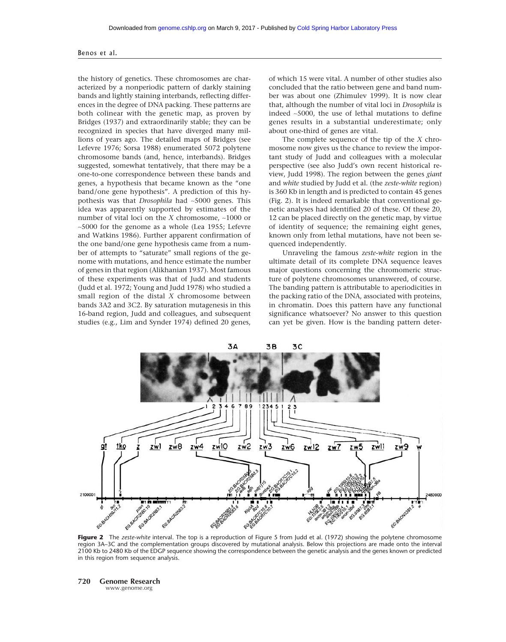the history of genetics. These chromosomes are characterized by a nonperiodic pattern of darkly staining bands and lightly staining interbands, reflecting differences in the degree of DNA packing. These patterns are both colinear with the genetic map, as proven by Bridges (1937) and extraordinarily stable; they can be recognized in species that have diverged many millions of years ago. The detailed maps of Bridges (see Lefevre 1976; Sorsa 1988) enumerated 5072 polytene chromosome bands (and, hence, interbands). Bridges suggested, somewhat tentatively, that there may be a one-to-one correspondence between these bands and genes, a hypothesis that became known as the "one band/one gene hypothesis". A prediction of this hypothesis was that *Drosophila* had ∼5000 genes. This idea was apparently supported by estimates of the number of vital loci on the *X* chromosome, ∼1000 or ∼5000 for the genome as a whole (Lea 1955; Lefevre and Watkins 1986). Further apparent confirmation of the one band/one gene hypothesis came from a number of attempts to "saturate" small regions of the genome with mutations, and hence estimate the number of genes in that region (Alikhanian 1937). Most famous of these experiments was that of Judd and students (Judd et al. 1972; Young and Judd 1978) who studied a small region of the distal *X* chromosome between bands 3A2 and 3C2. By saturation mutagenesis in this 16-band region, Judd and colleagues, and subsequent studies (e.g., Lim and Synder 1974) defined 20 genes,

of which 15 were vital. A number of other studies also concluded that the ratio between gene and band number was about one (Zhimulev 1999). It is now clear that, although the number of vital loci in *Drosophila* is indeed ∼5000, the use of lethal mutations to define genes results in a substantial underestimate; only about one-third of genes are vital.

The complete sequence of the tip of the *X* chromosome now gives us the chance to review the important study of Judd and colleagues with a molecular perspective (see also Judd's own recent historical review, Judd 1998). The region between the genes *giant* and *white* studied by Judd et al. (the *zeste-white* region) is 360 Kb in length and is predicted to contain 45 genes (Fig. 2). It is indeed remarkable that conventional genetic analyses had identified 20 of these. Of these 20, 12 can be placed directly on the genetic map, by virtue of identity of sequence; the remaining eight genes, known only from lethal mutations, have not been sequenced independently.

Unraveling the famous *zeste-white* region in the ultimate detail of its complete DNA sequence leaves major questions concerning the chromomeric structure of polytene chromosomes unanswered, of course. The banding pattern is attributable to aperiodicities in the packing ratio of the DNA, associated with proteins, in chromatin. Does this pattern have any functional significance whatsoever? No answer to this question can yet be given. How is the banding pattern deter-



**Figure 2** The *zeste-white* interval. The top is a reproduction of Figure 5 from Judd et al. (1972) showing the polytene chromosome region 3A–3C and the complementation groups discovered by mutational analysis. Below this projections are made onto the interval 2100 Kb to 2480 Kb of the EDGP sequence showing the correspondence between the genetic analysis and the genes known or predicted in this region from sequence analysis.

**720 Genome Research** www.genome.org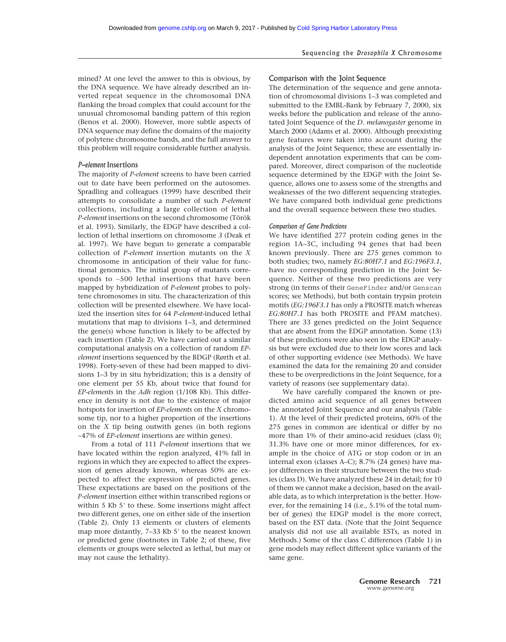mined? At one level the answer to this is obvious, by the DNA sequence. We have already described an inverted repeat sequence in the chromosomal DNA flanking the broad complex that could account for the unusual chromosomal banding pattern of this region (Benos et al. 2000). However, more subtle aspects of DNA sequence may define the domains of the majority of polytene chromosome bands, and the full answer to this problem will require considerable further analysis.

#### *P-element* Insertions

The majority of *P-element* screens to have been carried out to date have been performed on the autosomes. Spradling and colleagues (1999) have described their attempts to consolidate a number of such *P-element* collections, including a large collection of lethal *P-element* insertions on the second chromosome (Török et al. 1993). Similarly, the EDGP have described a collection of lethal insertions on chromosome *3* (Deak et al. 1997). We have begun to generate a comparable collection of *P-element* insertion mutants on the *X* chromosome in anticipation of their value for functional genomics. The initial group of mutants corresponds to ∼500 lethal insertions that have been mapped by hybridization of *P-element* probes to polytene chromosomes in situ. The characterization of this collection will be presented elsewhere. We have localized the insertion sites for 64 *P-element*-induced lethal mutations that map to divisions 1–3, and determined the gene(s) whose function is likely to be affected by each insertion (Table 2). We have carried out a similar computational analysis on a collection of random *EPelement* insertions sequenced by the BDGP (Rørth et al. 1998). Forty-seven of these had been mapped to divisions 1–3 by in situ hybridization; this is a density of one element per 55 Kb, about twice that found for *EP-elements* in the *Adh* region (1/108 Kb). This difference in density is not due to the existence of major hotspots for insertion of *EP-elements* on the *X* chromosome tip, nor to a higher proportion of the insertions on the *X* tip being outwith genes (in both regions ∼47% of *EP-element* insertions are within genes).

From a total of 111 *P-element* insertions that we have located within the region analyzed, 41% fall in regions in which they are expected to affect the expression of genes already known, whereas 50% are expected to affect the expression of predicted genes. These expectations are based on the positions of the *P-element* insertion either within transcribed regions or within 5 Kb 5' to these. Some insertions might affect two different genes, one on either side of the insertion (Table 2). Only 13 elements or clusters of elements map more distantly, 7–33 Kb 5' to the nearest known or predicted gene (footnotes in Table 2; of these, five elements or groups were selected as lethal, but may or may not cause the lethality).

#### Comparison with the Joint Sequence

The determination of the sequence and gene annotation of chromosomal divisions 1–3 was completed and submitted to the EMBL-Bank by February 7, 2000, six weeks before the publication and release of the annotated Joint Sequence of the *D*. *melanogaster* genome in March 2000 (Adams et al. 2000). Although preexisting gene features were taken into account during the analysis of the Joint Sequence, these are essentially independent annotation experiments that can be compared. Moreover, direct comparison of the nucleotide sequence determined by the EDGP with the Joint Sequence, allows one to assess some of the strengths and weaknesses of the two different sequencing strategies. We have compared both individual gene predictions and the overall sequence between these two studies.

#### *Comparison of Gene Predictions*

We have identified 277 protein coding genes in the region 1A–3C, including 94 genes that had been known previously. There are 275 genes common to both studies; two, namely *EG:80H7.1* and *EG:196F3.1*, have no corresponding prediction in the Joint Sequence. Neither of these two predictions are very strong (in terms of their GeneFinder and/or Genscan scores; see Methods), but both contain trypsin protein motifs (*EG:196F3.1* has only a PROSITE match whereas *EG:80H7.1* has both PROSITE and PFAM matches). There are 33 genes predicted on the Joint Sequence that are absent from the EDGP annotation. Some (13) of these predictions were also seen in the EDGP analysis but were excluded due to their low scores and lack of other supporting evidence (see Methods). We have examined the data for the remaining 20 and consider these to be overpredictions in the Joint Sequence, for a variety of reasons (see supplementary data).

We have carefully compared the known or predicted amino acid sequence of all genes between the annotated Joint Sequence and our analysis (Table 1). At the level of their predicted proteins, 60% of the 275 genes in common are identical or differ by no more than 1% of their amino-acid residues (class 0); 31.3% have one or more minor differences, for example in the choice of ATG or stop codon or in an internal exon (classes A–C); 8.7% (24 genes) have major differences in their structure between the two studies (class D). We have analyzed these 24 in detail; for 10 of them we cannot make a decision, based on the available data, as to which interpretation is the better. However, for the remaining 14 (i.e., 5.1% of the total number of genes) the EDGP model is the more correct, based on the EST data. (Note that the Joint Sequence analysis did not use all available ESTs, as noted in Methods.) Some of the class C differences (Table 1) in gene models may reflect different splice variants of the same gene.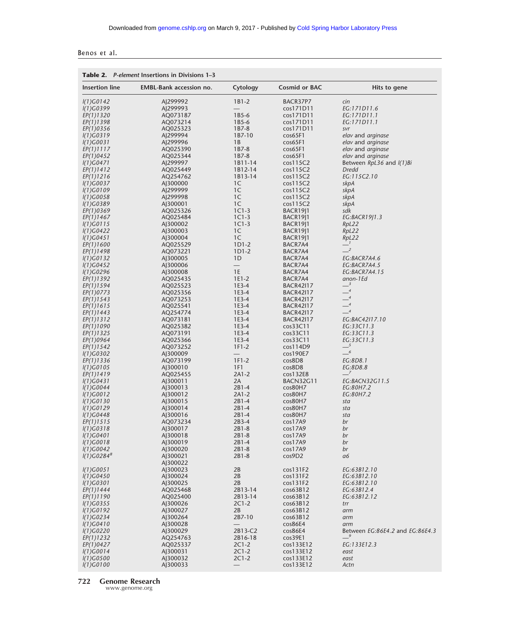| Benos et al. |  |  |  |
|--------------|--|--|--|
|--------------|--|--|--|

| <b>Insertion line</b>     | <b>EMBL-Bank accession no.</b> | Cytology                 | <b>Cosmid or BAC</b>                 | Hits to gene                                  |
|---------------------------|--------------------------------|--------------------------|--------------------------------------|-----------------------------------------------|
| $I(1)$ G0142              | AJ299992                       | 1B1-2                    | BACR37P7                             | cin                                           |
| I(1)G0399                 | AJ299993                       | $\overline{\phantom{0}}$ | cos171D11                            | EG:171D11.6                                   |
| EP(1)1320                 | AQ073187                       | 1B5-6                    | cos171D11                            | EG:171D11.1                                   |
| EP(1)1398                 | AQ073214                       | 1B5-6                    | cos171D11                            | EG:171D11.1                                   |
| EP(1)0356<br>l(1)G0319    | AQ025323<br>AJ299994           | $1B7-8$<br>1B7-10        | cos171D11<br>cos65F1                 | svr<br>elav and arginase                      |
| l(1)G0031                 | AJ299996                       | 1B                       | cos65F1                              | elav and arginase                             |
| EP(1)1117                 | AQ025390                       | $1B7-8$                  | cos65F1                              | elav and arginase                             |
| EP(1)0452                 | AQ025344                       | $1B7-8$                  | cos65F1                              | elav and arginase                             |
| l(1)G0471                 | AJ299997                       | 1B11-14                  | cos115C2                             | Between RpL36 and l(1)Bi                      |
| EP(1)1412                 | AQ025449                       | 1B12-14                  | cos115C2                             | <b>Dredd</b>                                  |
| EP(1)1216                 | AQ254762                       | 1B13-14                  | cos115C2                             | EG:115C2.10                                   |
| l(1)G0037                 | AJ300000                       | 1C                       | cos115C2                             | skpA                                          |
| $I(1)$ G0109              | AJ299999                       | 1C                       | cos115C2                             | skpA                                          |
| l(1)G0058                 | AJ299998                       | 1C                       | cos115C2                             | skpA                                          |
| I(1)G0389                 | AJ300001                       | 1C                       | cos115C2                             | skpA                                          |
| EP(1)0369<br>EP(1)1467    | AQ025326<br>AQ025484           | $1C1-3$<br>$1C1-3$       | <b>BACR1911</b><br><b>BACR19 1</b>   | sdk<br>EG:BACR19 1.3                          |
| $I(1)$ G0115              | AJ300002                       | $1C1-3$                  | <b>BACR19 1</b>                      | RpL22                                         |
| I(1)G0422                 | AJ300003                       | 1C                       | <b>BACR19 1</b>                      | RpL22                                         |
| l(1)G0451                 | AJ300004                       | 1C                       | <b>BACR19 1</b>                      | RpL22                                         |
| EP(1)1600                 | AQ025529                       | $1D1-2$                  | BACR7A4                              | $-1$                                          |
| EP(1)1498                 | AQ073221                       | $1D1-2$                  | BACR7A4                              | $-2$                                          |
| $I(1)$ G0132              | AJ300005                       | 1 <sub>D</sub>           | BACR7A4                              | EG:BACR7A4.6                                  |
| I(1)G0452                 | AJ300006                       |                          | BACR7A4                              | EG:BACR7A4.5                                  |
| I(1)G0296                 | AJ300008                       | 1E                       | BACR7A4                              | EG:BACR7A4.15                                 |
| EP(1)1392                 | AQ025435                       | $1E1 - 2$                | BACR7A4                              | anon-1Ed                                      |
| EP(1)1594                 | AQ025523                       | 1E3-4                    | <b>BACR42117</b>                     | $-$ <sup>3</sup><br>$-4$                      |
| EP(1)0773                 | AQ025356                       | 1E3-4                    | <b>BACR42117</b>                     | $-4$                                          |
| EP(1)1543<br>EP(1)1615    | AQ073253<br>AQ025541           | 1E3-4<br>$1E3-4$         | <b>BACR42117</b><br><b>BACR42117</b> | $-4$                                          |
| EP(1)1443                 | AQ254774                       | 1E3-4                    | <b>BACR42I17</b>                     | $-4$                                          |
| EP(1)1312                 | AQ073181                       | $1E3-4$                  | <b>BACR42I17</b>                     | EG:BAC42117.10                                |
| EP(1)1090                 | AQ025382                       | 1E3-4                    | cos33C11                             | EG:33C11.3                                    |
| EP(1)1325                 | AQ073191                       | $1E3-4$                  | cos33C11                             | EG:33C11.3                                    |
| EP(1)0964                 | AQ025366                       | 1E3-4                    | cos33C11                             | EG:33C11.3                                    |
| EP(1)1542                 | AQ073252                       | $1F1-2$                  | cos114D9                             | $-$ <sup>5</sup>                              |
| l(1)G0302                 | AJ300009                       |                          | cos190E7                             | $-6$                                          |
| EP(1)1336                 | AQ073199                       | $1F1-2$                  | cos8D8                               | EG:8D8.1                                      |
| $I(1)$ G0105              | AJ300010                       | 1F1                      | cos8D8                               | EG:8D8.8<br>$-7$                              |
| EP(1)1419                 | AQ025455                       | $2A1-2$<br>2A            | cos132E8                             |                                               |
| l(1)G0431<br>l(1)G0044    | AJ300011<br>AJ300013           | 2B1-4                    | BACN32G11<br>cos80H7                 | EG:BACN32G11.5<br>EG:80H7.2                   |
| $I(1)$ G0012              | AJ300012                       | $2A1-2$                  | cos80H7                              | EG:80H7.2                                     |
| l(1)G0130                 | AJ300015                       | $2B1-4$                  | cos80H7                              | sta                                           |
| $I(1)$ G0129              | AJ300014                       | 2B1-4                    | cos80H7                              | sta                                           |
| $I(1)$ G0448              | AJ300016                       | 2B1-4                    | cos80H7                              | sta                                           |
| EP(1)1515                 | AQ073234                       | 2B3-4                    | cos17A9                              | br                                            |
| l(1)G0318                 | AJ300017                       | $2B1-8$                  | cos17A9                              | br                                            |
| l(1)G0401                 | AJ300018                       | 2B1-8                    | cos17A9                              | br                                            |
| $I(1)$ G0018              | AJ300019                       | 2B1-4                    | cos17A9                              | br                                            |
| $I(1)$ G0042              | AJ300020                       | $2B1-8$                  | cos17A9                              | br                                            |
| $I(1)$ G0284 <sup>8</sup> | AJ300021                       | $2B1-8$                  | cos9D2                               | a6                                            |
| l(1)G0051                 | AJ300022<br>AJ300023           | 2B                       | cos131F2                             | EG:63B12.10                                   |
| $I(1)$ G0450              | AJ300024                       | 2B                       | cos131F2                             | EG:63B12.10                                   |
| l(1)G0301                 | AJ300025                       | 2B                       | cos131F2                             | EG:63B12.10                                   |
| EP(1)1444                 | AQ025468                       | 2B13-14                  | cos63B12                             | EG:63B12.4                                    |
| EP(1)1190                 | AQ025400                       | 2B13-14                  | cos63B12                             | EG:63B12.12                                   |
| $I(1)$ G0355              | AJ300026                       | $2C1-2$                  | cos63B12                             | trr                                           |
| l(1)G0192                 | AJ300027                       | 2B                       | cos63B12                             | arm                                           |
| l(1)G0234                 | AJ300264                       | 2B7-10                   | cos63B12                             | arm                                           |
| $I(1)$ G0410              | AJ300028                       |                          | cos86E4                              | arm                                           |
| l(1)G0220                 | AJ300029                       | 2B13-C2                  | cos86E4                              | Between <i>EG:86E4.2</i> and <i>EG:86E4.3</i> |
| EP(1)1232                 | AQ254763                       | 2B16-18                  | cos39E1                              | $-$ <sup>9</sup>                              |
| EP(1)0427                 | AQ025337                       | $2C1-2$                  | cos133E12                            | EG:133E12.3                                   |
| $I(1)$ G0014              | AJ300031                       | $2C1-2$                  | cos133E12                            | east                                          |
| I(1)G0500                 | AJ300032                       | $2C1-2$                  | cos133E12                            | east                                          |
| $I(1)$ G0100              | AJ300033                       |                          | cos133E12                            | Actn                                          |

**722 Genome Research** www.genome.org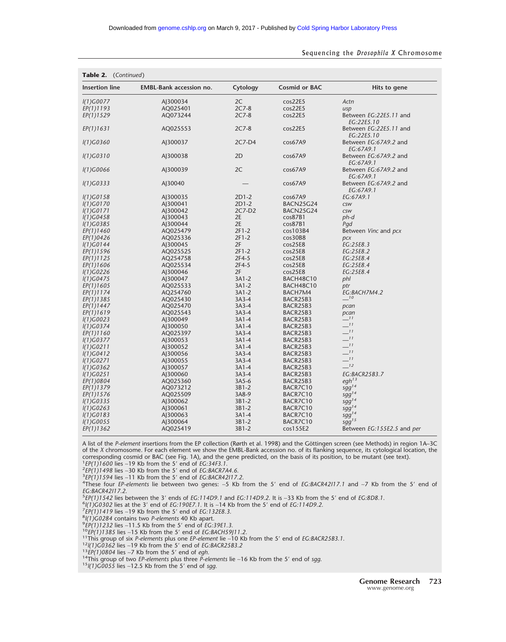| <b>Insertion line</b> | <b>EMBL-Bank accession no.</b> | Cytology | <b>Cosmid or BAC</b> | Hits to gene                         |
|-----------------------|--------------------------------|----------|----------------------|--------------------------------------|
|                       |                                |          |                      |                                      |
| $I(1)$ G0077          | AJ300034                       | 2C       | cos22E5              | Actn                                 |
| EP(1)1193             | AQ025401                       | $2C7-8$  | cos22E5              | usp                                  |
| EP(1)1529             | AQ073244                       | $2C7-8$  | cos22E5              | Between EG:22E5.11 and<br>EG:22E5.10 |
| EP(1)1631             | AQ025553                       | $2C7-8$  | cos22E5              | Between EG:22E5.11 and<br>EG:22E5.10 |
| $I(1)$ G0360          | AJ300037                       | 2C7-D4   | cos67A9              | Between EG:67A9.2 and<br>EG:67A9.1   |
| $I(1)$ G0310          | AJ300038                       | 2D       | cos67A9              | Between EG:67A9.2 and<br>EG:67A9.1   |
| $I(1)$ G0066          | AJ300039                       | 2C       | cos67A9              | Between EG:67A9.2 and<br>EG:67A9.1   |
| $I(1)$ G0333          | AJ30040                        |          | cos67A9              | Between EG:67A9.2 and<br>EG:67A9.1   |
| $I(1)$ G0158          | AJ300035                       | 2D1-2    | cos67A9              | EG:67A9.1                            |
| $I(1)$ G0170          | AJ300041                       | 2D1-2    | BACN25G24            | <b>CSW</b>                           |
| $I(1)$ G0171          | AJ300042                       | 2C7-D2   | BACN25G24            | <b>CSW</b>                           |
| $I(1)$ G0458          | AJ300043                       | 2E       | cos87B1              | $ph-d$                               |
| I(1)G0385             | AJ300044                       | 2E       | cos87B1              | Pad                                  |
| EP(1)1460             | AQ025479                       | 2F1-2    | cos103B4             | Between Vinc and pcx                 |
| EP(1)0426             | AQ025336                       | $2F1-2$  | cos30B8              | pcx                                  |
| $I(1)$ G0144          | AJ300045                       | 2F       | cos25E8              | EG:25E8.3                            |
| EP(1)1596             | AQ025525                       | $2F1-2$  | cos25E8              | EG:25E8.2                            |
| EP(1)1125             | AQ254758                       | 2F4-5    | cos25E8              | EG:25E8.4                            |
| EP(1)1606             | AQ025534                       | 2F4-5    | cos25E8              | EG:25E8.4                            |
| $I(1)$ G0226          | AJ300046                       | 2F       | cos25E8              | EG:25E8.4                            |
| $I(1)$ G0475          | AJ300047                       | $3A1-2$  | BACH48C10            | phl                                  |
| EP(1)1605             | AQ025533                       | $3A1-2$  | BACH48C10            | ptr                                  |
| EP(1)1174             | AQ254760                       | $3A1-2$  | BACH7M4              | EG:BACH7M4.2                         |
| EP(1)1385             | AQ025430                       | $3A3-4$  | BACR25B3             | $-10$                                |
| EP(1)1447             | AQ025470                       | $3A3-4$  | BACR25B3             | pcan                                 |
| EP(1)1619             | AQ025543                       | $3A3-4$  | BACR25B3             | pcan                                 |
| $I(1)$ G0023          | AJ300049                       | 3A1-4    | BACR25B3             | $-11$                                |
| $I(1)$ G0374          | AJ300050                       | 3A1-4    | BACR25B3             | 11                                   |
| EP(1)1160             | AQ025397                       | 3A3-4    | BACR25B3             | $^{\frac{-11}{-}}$                   |
| $I(1)$ G0377          | AJ300053                       | 3A1-4    | BACR25B3             | $-11$                                |
| $I(1)$ G0211          | AJ300052                       | 3A1-4    | BACR25B3             | $-11$                                |
| $I(1)$ G0412          | AJ300056                       | 3A3-4    | BACR25B3             | $-11$                                |
| $I(1)$ G0271          | AJ300055                       | $3A3-4$  | BACR25B3             | $-11$                                |
| I(1)G0362             | AJ300057                       | $3A1-4$  | BACR25B3             | $-12$                                |
| $I(1)$ G0251          | AJ300060                       | 3A3-4    | BACR25B3             | EG:BACR25B3.7                        |
| EP(1)0804             | AQ025360                       | $3A5-6$  | BACR25B3             | $eqh^{13}$                           |
| EP(1)1379             | AQ073212                       | 3B1-2    | BACR7C10             | $sgg^{14}$                           |
| EP(1)1576             | AQ025509                       | 3A8-9    | BACR7C10             | $sgg^{14}$                           |
| $I(1)$ G0335          | AJ300062                       | $3B1-2$  | BACR7C10             | $sgg^{14}$                           |
| $I(1)$ G0263          | AJ300061                       | 3B1-2    | BACR7C10             | $sgg^{14}$                           |
|                       |                                | 3A1-4    |                      | $sgg^{14}$                           |
| l(1)G0183             | AJ300063                       |          | BACR7C10             | $sgg^{15}$                           |
| $I(1)$ G0055          | AJ300064                       | 3B1-2    | BACR7C10             |                                      |
| EP(1)1362             | AQ025419                       | 3B1-2    | cos155E2             | Between EG:155E2.5 and per           |

A list of the *P-element* insertions from the EP collection (Rørth et al. 1998) and the Göttingen screen (see Methods) in region 1A–3C of the *X* chromosome. For each element we show the EMBL-Bank accession no. of its flanking sequence, its cytological location, the corresponding cosmid or BAC (see Fig. 1A), and the gene predicted, on the basis of its position, to be mutant (see text).<br><sup>1</sup>EP(1)1600 lies ~19 Kb from the 5' end of EG:34F3.1.<br><sup>2</sup>EP(1)1498 lies ~30 Kb from the 5' end of

*<sup>2</sup>EP(1)1498* lies ~30 Kb from the 5' end of *EG:BACR7A4.6.*<br><sup>3</sup>*EP(1)1594* lies ~11 Kb from the 5' end of *EG:BACR42117* 

<sup>3</sup>EP(1)1594 lies ~11 Kb from the 5' end of *EG:BACR42I17.2.*<br><sup>4</sup>These four *EP-elements* lie between two genes: ~5 Kb f These four *EP-elements* lie between two genes: ∼5 Kb from the 5' end of *EG:BACR42I17.1* and ∼7 Kb from the 5' end of

*EG:BACR42I17.2.*

*FEP(1)1542* lies between the 3' ends of *EG:114D9.1* and *EG:114D9.2*. It is ~33 Kb from the 5' end of *EG:8D8.1.*<br><sup>6</sup>*I/1)C0302* lies at the 3' end of *EG:190E7.1* It is ~14 Kb from the 5' end of *EG:114D9.2* 

<sup>6</sup>l(1)G0302 lies at the 3' end of *EG:190E7.1.* It is ~14 Kb from the 5' end of *EG:114D9.2.*<br><sup>7</sup> FP(1)1419 lies ~19 Kb from the 5' end of FG:132E8 3

<sup>7</sup>EP(1)1419 lies ~19 Kb from the 5' end of *EG:132E8.3.*<br><sup>8</sup>I(1)C0284 contains two P-elements 40 Kb apart

<sup>8</sup>l(1)G0284 contains two *P-elements* 40 Kb apart.<br><sup>9</sup>EP(1)1232 lies ∼11.5 Kb from the 5' end of *EG:39E1.3.*<br><sup>10</sup>EP(1)1385 lies ~15 Kb from the 5' end of *EG:BACH59*)

<sup>10</sup>EP(1)1385 lies ~15 Kb from the 5′ end of EG:BACH59J11.2.<br><sup>11</sup>This group of six *P-elements* plus one EP-*element* lie ∼10 Kb from the 5′ <sup>1</sup>'This group of six *P-elements* plus one *EP-element* lie ~10 Kb from the 5' end of *EG:BACR25B3.1.*<br><sup>12</sup>/(1)G0362 lies ~19 Kb from the 5' end of *EG:BACR25B3.2* 

<sup>12</sup>/(1)G0362 lies ∼19 Kb from the 5' end of *EG:BACR25B3.2*<br><sup>13</sup>*EP(1)0804* lies ∼7 Kb from the 5' end of *egh.* 

<sup>13</sup>*EP(1)0804* lies ~7 Kb from the 5' end of *egh.*<br><sup>14</sup>This group of two *EP-elements* plus three *P-elements* lie ∼16 Kb from the 5' <sup>14</sup>This group of two *EP-elements* plus three *P-elements* lie ∼16 Kb from the 5′ end of *sgg.*<br><sup>15</sup>/(1)G0055 lies ~12.5 Kb from the 5′ end of *sgg.* 

 $^{15}$  $(1)$ G0055 lies ~12.5 Kb from the 5' end of sgg.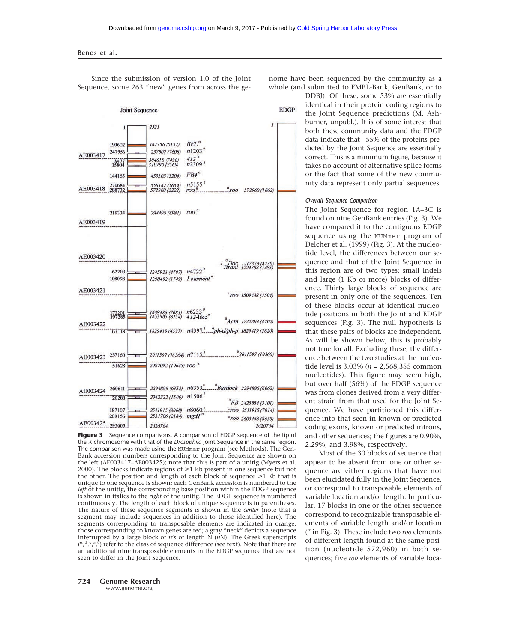Since the submission of version 1.0 of the Joint Sequence, some 263 "new" genes from across the ge-



**Figure 3** Sequence comparisons. A comparison of EDGP sequence of the tip of the *X* chromosome with that of the *Drosophila* Joint Sequence in the same region. The comparison was made using the MUMmer program (see Methods). The Gen-Bank accession numbers corresponding to the Joint Sequence are shown on the left (AE003417–AE003425); note that this is part of a unitig (Myers et al. 2000). The blocks indicate regions of  $\geq 1$  Kb present in one sequence but not the other. The position and length of each block of sequence  $\geq 1$  Kb that is unique to one sequence is shown; each GenBank accession is numbered to the *left* of the unitig, the corresponding base position within the EDGP sequence is shown in italics to the *right* of the unitig. The EDGP sequence is numbered continuously. The length of each block of unique sequence is in parentheses. The nature of these sequence segments is shown in the *center* (note that a segment may include sequences in addition to those identified here). The segments corresponding to transposable elements are indicated in orange; those corresponding to known genes are red; a gray "neck" depicts a sequence interrupted by a large block of *n*'s of length N (*n*N). The Greek superscripts  $({}^{\alpha}$ , $^{\beta}$  $\mathcal{F}, \mathcal{F}$ ) refer to the class of sequence difference (see text). Note that there are an additional nine transposable elements in the EDGP sequence that are not seen to differ in the Joint Sequence.

nome have been sequenced by the community as a whole (and submitted to EMBL-Bank, GenBank, or to

> DDBJ). Of these, some 53% are essentially identical in their protein coding regions to the Joint Sequence predictions (M. Ashburner, unpubl.). It is of some interest that both these community data and the EDGP data indicate that ∼55% of the proteins predicted by the Joint Sequence are essentially correct. This is a minimum figure, because it takes no account of alternative splice forms or the fact that some of the new community data represent only partial sequences.

#### *Overall Sequence Comparison*

The Joint Sequence for region 1A–3C is found on nine GenBank entries (Fig. 3). We have compared it to the contiguous EDGP sequence using the MUMmer program of Delcher et al. (1999) (Fig. 3). At the nucleotide level, the differences between our sequence and that of the Joint Sequence in this region are of two types: small indels and large (1 Kb or more) blocks of difference. Thirty large blocks of sequence are present in only one of the sequences. Ten of these blocks occur at identical nucleotide positions in both the Joint and EDGP sequences (Fig. 3). The null hypothesis is that these pairs of blocks are independent. As will be shown below, this is probably not true for all. Excluding these, the difference between the two studies at the nucleotide level is 3.03% (*n* = 2,568,355 common nucleotides). This figure may seem high, but over half (56%) of the EDGP sequence was from clones derived from a very different strain from that used for the Joint Sequence. We have partitioned this difference into that seen in known or predicted coding exons, known or predicted introns, and other sequences; the figures are 0.90%, 2.29%, and 3.98%, respectively.

Most of the 30 blocks of sequence that appear to be absent from one or other sequence are either regions that have not been elucidated fully in the Joint Sequence, or correspond to transposable elements of variable location and/or length. In particular, 17 blocks in one or the other sequence correspond to recognizable transposable elements of variable length and/or location ( in Fig. 3). These include two *roo* elements of different length found at the same position (nucleotide 572,960) in both sequences; five *roo* elements of variable loca-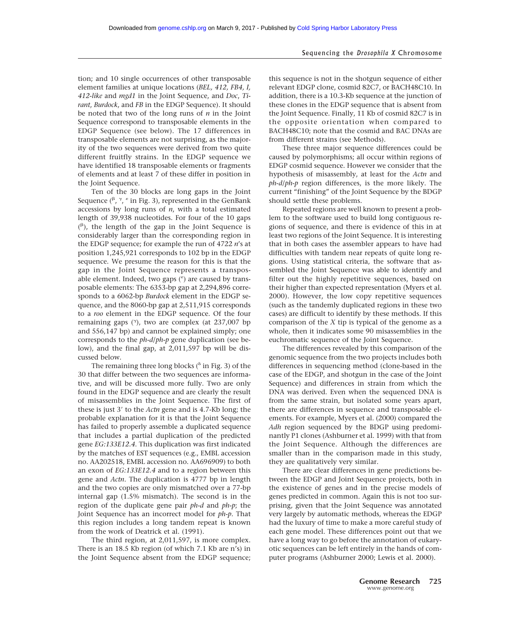tion; and 10 single occurrences of other transposable element families at unique locations (*BEL, 412, FB4, I, 412-like* and *mgd1* in the Joint Sequence, and *Doc*, *Tirant*, *Burdock*, and *FB* in the EDGP Sequence). It should be noted that two of the long runs of *n* in the Joint Sequence correspond to transposable elements in the EDGP Sequence (see below). The 17 differences in transposable elements are not surprising, as the majority of the two sequences were derived from two quite different fruitfly strains. In the EDGP sequence we have identified 18 transposable elements or fragments of elements and at least 7 of these differ in position in the Joint Sequence.

Ten of the 30 blocks are long gaps in the Joint Sequence  $(^\beta, \gamma, ^e$  in Fig. 3), represented in the GenBank accessions by long runs of *n*, with a total estimated length of 39,938 nucleotides. For four of the 10 gaps  $(^{6})$ , the length of the gap in the Joint Sequence is considerably larger than the corresponding region in the EDGP sequence; for example the run of 4722 *n*'s at position 1,245,921 corresponds to 102 bp in the EDGP sequence. We presume the reason for this is that the gap in the Joint Sequence represents a transposable element. Indeed, two gaps  $(\epsilon)$  are caused by transposable elements: The 6353-bp gap at 2,294,896 corresponds to a 6062-bp *Burdock* element in the EDGP sequence, and the 8060-bp gap at 2,511,915 corresponds to a *roo* element in the EDGP sequence. Of the four remaining gaps ( $\gamma$ ), two are complex (at 237,007 bp and 556,147 bp) and cannot be explained simply; one corresponds to the *ph-d*/*ph-p* gene duplication (see below), and the final gap, at 2,011,597 bp will be discussed below.

The remaining three long blocks ( $\delta$  in Fig. 3) of the 30 that differ between the two sequences are informative, and will be discussed more fully. Two are only found in the EDGP sequence and are clearly the result of misassemblies in the Joint Sequence. The first of these is just 3' to the *Actn* gene and is 4.7-Kb long; the probable explanation for it is that the Joint Sequence has failed to properly assemble a duplicated sequence that includes a partial duplication of the predicted gene *EG:133E12.4*. This duplication was first indicated by the matches of EST sequences (e.g., EMBL accession no. AA202518, EMBL accession no. AA696909) to both an exon of *EG:133E12.4* and to a region between this gene and *Actn*. The duplication is 4777 bp in length and the two copies are only mismatched over a 77-bp internal gap (1.5% mismatch). The second is in the region of the duplicate gene pair *ph-d* and *ph-p*; the Joint Sequence has an incorrect model for *ph-p*. That this region includes a long tandem repeat is known from the work of Deatrick et al. (1991).

The third region, at 2,011,597, is more complex. There is an 18.5 Kb region (of which 7.1 Kb are n's) in the Joint Sequence absent from the EDGP sequence; this sequence is not in the shotgun sequence of either relevant EDGP clone, cosmid 82C7, or BACH48C10. In addition, there is a 10.3-Kb sequence at the junction of these clones in the EDGP sequence that is absent from the Joint Sequence. Finally, 11 Kb of cosmid 82C7 is in the opposite orientation when compared to BACH48C10; note that the cosmid and BAC DNAs are from different strains (see Methods).

These three major sequence differences could be caused by polymorphisms; all occur within regions of EDGP cosmid sequence. However we consider that the hypothesis of misassembly, at least for the *Actn* and *ph-d*/*ph-p* region differences, is the more likely. The current "finishing" of the Joint Sequence by the BDGP should settle these problems.

Repeated regions are well known to present a problem to the software used to build long contiguous regions of sequence, and there is evidence of this in at least two regions of the Joint Sequence. It is interesting that in both cases the assembler appears to have had difficulties with tandem near repeats of quite long regions. Using statistical criteria, the software that assembled the Joint Sequence was able to identify and filter out the highly repetitive sequences, based on their higher than expected representation (Myers et al. 2000). However, the low copy repetitive sequences (such as the tandemly duplicated regions in these two cases) are difficult to identify by these methods. If this comparison of the *X* tip is typical of the genome as a whole, then it indicates some 90 misassemblies in the euchromatic sequence of the Joint Sequence.

The differences revealed by this comparison of the genomic sequence from the two projects includes both differences in sequencing method (clone-based in the case of the EDGP, and shotgun in the case of the Joint Sequence) and differences in strain from which the DNA was derived. Even when the sequenced DNA is from the same strain, but isolated some years apart, there are differences in sequence and transposable elements. For example, Myers et al. (2000) compared the *Adh* region sequenced by the BDGP using predominantly P1 clones (Ashburner et al. 1999) with that from the Joint Sequence. Although the differences are smaller than in the comparison made in this study, they are qualitatively very similar.

There are clear differences in gene predictions between the EDGP and Joint Sequence projects, both in the existence of genes and in the precise models of genes predicted in common. Again this is not too surprising, given that the Joint Sequence was annotated very largely by automatic methods, whereas the EDGP had the luxury of time to make a more careful study of each gene model. These differences point out that we have a long way to go before the annotation of eukaryotic sequences can be left entirely in the hands of computer programs (Ashburner 2000; Lewis et al. 2000).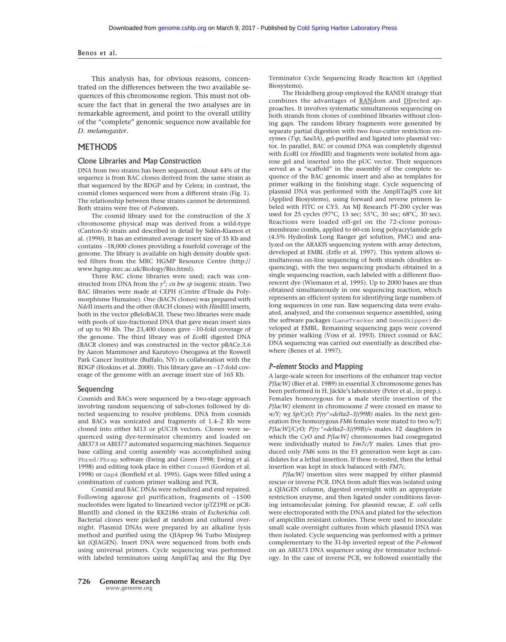This analysis has, for obvious reasons, concentrated on the differences between the two available sequences of this chromosome region. This must not obscure the fact that in general the two analyses are in remarkable agreement, and point to the overall utility of the "complete" genomic sequence now available for *D. melanogaster*.

## **METHODS**

#### Clone Libraries and Map Construction

DNA from two strains has been sequenced. About 44% of the sequence is from BAC clones derived from the same strain as that sequenced by the BDGP and by Celera; in contrast, the cosmid clones sequenced were from a different strain (Fig. 1). The relationship between these strains cannot be determined. Both strains were free of *P-elements.*

The cosmid library used for the construction of the *X* chromosome physical map was derived from a wild-type (Canton-S) strain and described in detail by Sidén-Kiamos et al. (1990). It has an estimated average insert size of 35 Kb and contains ∼18,000 clones providing a fourfold coverage of the genome. The library is available on high density double spotted filters from the MRC HGMP Resource Centre (http:// www.hgmp.mrc.ac.uk/Biology/Bio.html).

Three BAC clone libraries were used; each was constructed from DNA from the  $y^2$ ; cn bw sp isogenic strain. Two BAC libraries were made at CEPH (Centre d'Etude du Polymorphisme Humaine). One (BACN clones) was prepared with *Nde*II inserts and the other (BACH clones) with *Hin*dIII inserts, both in the vector pBeloBACII. These two libraries were made with pools of size-fractioned DNA that gave mean insert sizes of up to 90 Kb. The 23,400 clones gave ∼10-fold coverage of the genome. The third library was of *Eco*RI digested DNA (BACR clones) and was constructed in the vector pBACe.3.6 by Aaron Mammoser and Kazutoyo Oseogawa at the Roswell Park Cancer Institute (Buffalo, NY) in collaboration with the BDGP (Hoskins et al. 2000). This library gave an ∼17-fold coverage of the genome with an average insert size of 165 Kb.

#### **Sequencing**

Cosmids and BACs were sequenced by a two-stage approach involving random sequencing of sub-clones followed by directed sequencing to resolve problems. DNA from cosmids and BACs was sonicated and fragments of 1.4–2 Kb were cloned into either M13 or pUC18 vectors. Clones were sequenced using dye-terminator chemistry and loaded on ABI373 or ABI377 automated sequencing machines. Sequence base calling and contig assembly was accomplished using Phred/Phrap software (Ewing and Green 1998; Ewing et al. 1998) and editing took place in either Consed (Gordon et al. 1998) or Gap4 (Bonfield et al. 1995). Gaps were filled using a combination of custom primer walking and PCR.

Cosmid and BAC DNAs were nebulized and end repaired. Following agarose gel purification, fragments of ∼1500 nucleotides were ligated to linearized vector (pTZ19R or pCR-BluntII) and cloned in the KK2186 strain of *Escherichia coli.* Bacterial clones were picked at random and cultured overnight. Plasmid DNAs were prepared by an alkaline lysis method and purified using the QIAprep 96 Turbo Miniprep kit (QIAGEN). Insert DNA were sequenced from both ends using universal primers. Cycle sequencing was performed with labeled terminators using AmpliTaq and the Big Dye Terminator Cycle Sequencing Ready Reaction kit (Applied Biosystems).

The Heidelberg group employed the RANDI strategy that combines the advantages of RANdom and DIrected approaches. It involves systematic simultaneous sequencing on both strands from clones of combined libraries without cloning gaps. The random library fragments were generated by separate partial digestion with two four-cutter restriction enzymes (*Tsp, Sau*3A), gel-purified and ligated into plasmid vector. In parallel, BAC or cosmid DNA was completely digested with *Eco*RI (or *Hin*dIII) and fragments were isolated from agarose gel and inserted into the pUC vector. Their sequences served as a "scaffold" in the assembly of the complete sequence of the BAC genomic insert and also as templates for primer walking in the finishing stage. Cycle sequencing of plasmid DNA was performed with the AmpliTaqFS core kit (Applied Biosystems), using forward and reverse primers labeled with FITC or CY5. An MJ Research PT-200 cycler was used for 25 cycles (97°C, 15 sec; 55°C, 30 sec; 68°C, 30 sec). Reactions were loaded off-gel on the 72-clone porousmembrane combs, applied to 60-cm long polyacrylamide gels (4.5% Hydrolink Long Ranger gel solution, FMC) and analyzed on the ARAKIS sequencing system with array detectors, developed at EMBL (Erfle et al. 1997). This system allows simultaneous on-line sequencing of both strands (doublex sequencing), with the two sequencing products obtained in a single sequencing reaction, each labeled with a different fluorescent dye (Wiemann et al. 1995). Up to 2000 bases are thus obtained simultaneously in one sequencing reaction, which represents an efficient system for identifying large numbers of long sequences in one run. Raw sequencing data were evaluated, analyzed, and the consensus sequence assembled, using the software packages (LaneTracker and GeneSkipper) developed at EMBL. Remaining sequencing gaps were covered by primer walking (Voss et al. 1993). Direct cosmid or BAC DNA sequencing was carried out essentially as described elsewhere (Benes et al. 1997).

#### *P-element* Stocks and Mapping

A large-scale screen for insertions of the enhancer trap vector *P{lacW}* (Bier et al. 1989) in essential *X* chromosome genes has been performed in H. Jäckle's laboratory (Peter et al., in prep.). Females homozygous for a male sterile insertion of the *P{lacW}* element in chromosome *2* were crossed en masse to *w/Y; wg Sp/CyO; P{ry*<sup>+</sup> =*delta2*–*3}(99B)* males. In the next generation five homozygous *FM6* females were mated to two *w/Y; P{lacW}/CyO; P{ry* <sup>+</sup> =*delta2*–*3}(99B)/*+ males. F2 daughters in which the *CyO* and *P{lacW}* chromosomes had cosegregated were individually mated to *Fm7c/Y* males. Lines that produced only *FM6* sons in the F3 generation were kept as candidates for a lethal insertion. If these re-tested, then the lethal insertion was kept in stock balanced with *FM7c.*

*P{lacW}* insertion sites were mapped by either plasmid rescue or inverse PCR. DNA from adult flies was isolated using a QIAGEN column, digested overnight with an appropriate restriction enzyme, and then ligated under conditions favoring intramolecular joining. For plasmid rescue, *E. coli* cells were electroporated with the DNA and plated for the selection of ampicillin resistant colonies. These were used to inoculate small scale overnight cultures from which plasmid DNA was then isolated. Cycle sequencing was performed with a primer complementary to the 31-bp inverted repeat of the *P-element* on an ABI373 DNA sequencer using dye terminator technology. In the case of inverse PCR, we followed essentially the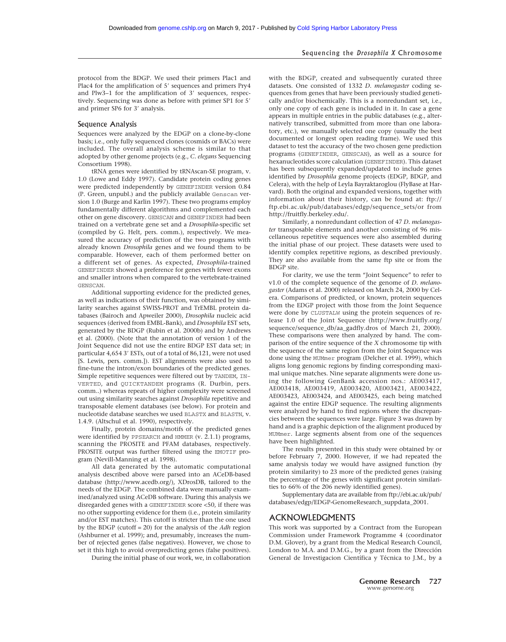protocol from the BDGP. We used their primers Plac1 and Plac4 for the amplification of 5' sequences and primers Pry4 and Plw3–1 for the amplification of 3' sequences, respectively. Sequencing was done as before with primer SP1 for 5' and primer SP6 for 3' analysis.

#### Sequence Analysis

Sequences were analyzed by the EDGP on a clone-by-clone basis; i.e., only fully sequenced clones (cosmids or BACs) were included. The overall analysis scheme is similar to that adopted by other genome projects (e.g., *C. elegans* Sequencing Consortium 1998).

tRNA genes were identified by tRNAscan-SE program, v. 1.0 (Lowe and Eddy 1997). Candidate protein coding genes were predicted independently by GENEFINDER version 0.84 (P. Green, unpubl.) and the publicly available Genscan version 1.0 (Burge and Karlin 1997). These two programs employ fundamentally different algorithms and complemented each other on gene discovery. GENSCAN and GENEFINDER had been trained on a vertebrate gene set and a *Drosophila*-specific set (compiled by G. Helt, pers. comm.), respectively. We measured the accuracy of prediction of the two programs with already known *Drosophila* genes and we found them to be comparable. However, each of them performed better on a different set of genes. As expected, *Drosophila*-trained GENEFINDER showed a preference for genes with fewer exons and smaller introns when compared to the vertebrate-trained GENSCAN.

Additional supporting evidence for the predicted genes, as well as indications of their function, was obtained by similarity searches against SWISS-PROT and TrEMBL protein databases (Bairoch and Apweiler 2000), *Drosophila* nucleic acid sequences (derived from EMBL-Bank), and *Drosophila* EST sets, generated by the BDGP (Rubin et al. 2000b) and by Andrews et al. (2000). (Note that the annotation of version 1 of the Joint Sequence did not use the entire BDGP EST data set; in particular 4,654 3' ESTs, out of a total of 86,121, were not used [S. Lewis, pers. comm.]). EST alignments were also used to fine-tune the intron/exon boundaries of the predicted genes. Simple repetitive sequences were filtered out by TANDEM, IN-VERTED, and QUICKTANDEM programs (R. Durbin, pers. comm..) whereas repeats of higher complexity were screened out using similarity searches against *Drosophila* repetitive and transposable element databases (see below). For protein and nucleotide database searches we used BLASTX and BLASTN, v. 1.4.9. (Altschul et al. 1990), respectively.

Finally, protein domains/motifs of the predicted genes were identified by PPSEARCH and HMMER (v. 2.1.1) programs, scanning the PROSITE and PFAM databases, respectively. PROSITE output was further filtered using the EMOTIF program (Nevill-Manning et al. 1998).

All data generated by the automatic computational analysis described above were parsed into an ACeDB-based database (http://www.acedb.org/), XDrosDB, tailored to the needs of the EDGP. The combined data were manually examined/analyzed using ACeDB software. During this analysis we disregarded genes with a GENEFINDER score <50, if there was no other supporting evidence for them (i.e., protein similarity and/or EST matches). This cutoff is stricter than the one used by the BDGP (cutoff = 20) for the analysis of the *Adh* region (Ashburner et al. 1999); and, presumably, increases the number of rejected genes (false negatives). However, we chose to set it this high to avoid overpredicting genes (false positives).

During the initial phase of our work, we, in collaboration

with the BDGP, created and subsequently curated three datasets. One consisted of 1332 *D. melanogaster* coding sequences from genes that have been previously studied genetically and/or biochemically. This is a nonredundant set, i.e., only one copy of each gene is included in it. In case a gene appears in multiple entries in the public databases (e.g., alternatively transcribed, submitted from more than one laboratory, etc.), we manually selected one copy (usually the best documented or longest open reading frame). We used this dataset to test the accuracy of the two chosen gene prediction programs (GENEFINDER, GENSCAN), as well as a source for hexanucleotides score calculation (GENEFINDER). This dataset has been subsequently expanded/updated to include genes identified by *Drosophila* genome projects (EDGP, BDGP, and Celera), with the help of Leyla Bayraktaroglou (FlyBase at Harvard). Both the original and expanded versions, together with information about their history, can be found at: ftp:// ftp.ebi.ac.uk/pub/databases/edgp/sequence\_sets/or from http://fruitfly.berkeley.edu/.

Similarly, a nonredundant collection of 47 *D. melanogaster* transposable elements and another consisting of 96 miscellaneous repetitive sequences were also assembled during the initial phase of our project. These datasets were used to identify complex repetitive regions, as described previously. They are also available from the same ftp site or from the BDGP site.

For clarity, we use the term "Joint Sequence" to refer to v1.0 of the complete sequence of the genome of *D. melanogaster* (Adams et al. 2000) released on March 24, 2000 by Celera. Comparisons of predicted, or known, protein sequences from the EDGP project with those from the Joint Sequence were done by CLUSTALW using the protein sequences of release 1.0 of the Joint Sequence (http://www.fruitfly.org/ sequence/sequence\_db/aa\_gadfly.dros of March 21, 2000). These comparisons were then analyzed by hand. The comparison of the entire sequence of the *X* chromosome tip with the sequence of the same region from the Joint Sequence was done using the MUMmer program (Delcher et al. 1999), which aligns long genomic regions by finding corresponding maximal unique matches. Nine separate alignments were done using the following GenBank accession nos.: AE003417, AE003418, AE003419, AE003420, AE003421, AE003422, AE003423, AE003424, and AE003425, each being matched against the entire EDGP sequence. The resulting alignments were analyzed by hand to find regions where the discrepancies between the sequences were large. Figure 3 was drawn by hand and is a graphic depiction of the alignment produced by MUMmer. Large segments absent from one of the sequences have been highlighted.

The results presented in this study were obtained by or before February 7, 2000. However, if we had repeated the same analysis today we would have assigned function (by protein similarity) to 23 more of the predicted genes (raising the percentage of the genes with significant protein similarities to 66% of the 206 newly identified genes).

Supplementary data are available from ftp://ebi.ac.uk/pub/ databases/edgp/EDGP-GenomeResearch\_suppdata\_2001.

## ACKNOWLEDGMENTS

This work was supported by a Contract from the European Commission under Framework Programme 4 (coordinator D.M. Glover), by a grant from the Medical Research Council, London to M.A. and D.M.G., by a grant from the Dirección General de Investigacion Científica y Técnica to J.M., by a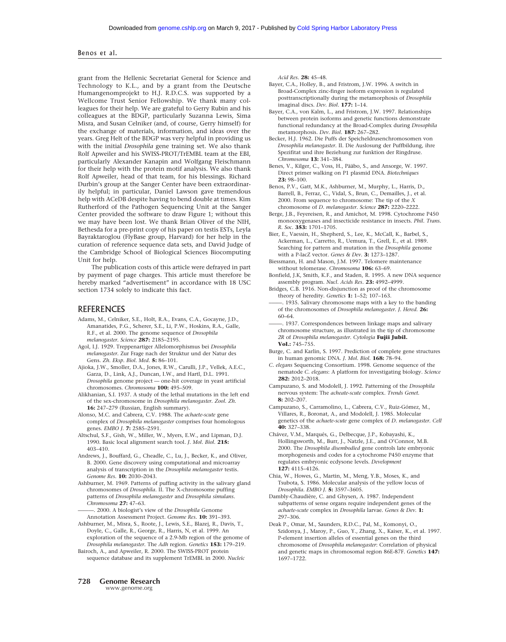grant from the Hellenic Secretariat General for Science and Technology to K.L., and by a grant from the Deutsche Humangenomprojekt to H.J. R.D.C.S. was supported by a Wellcome Trust Senior Fellowship. We thank many colleagues for their help. We are grateful to Gerry Rubin and his colleagues at the BDGP, particularly Suzanna Lewis, Sima Misra, and Susan Celniker (and, of course, Gerry himself) for the exchange of materials, information, and ideas over the years. Greg Helt of the BDGP was very helpful in providing us with the initial *Drosophila* gene training set. We also thank Rolf Apweiler and his SWISS-PROT/TrEMBL team at the EBI, particularly Alexander Kanapin and Wolfgang Fleischmann for their help with the protein motif analysis. We also thank Rolf Apweiler, head of that team, for his blessings. Richard Durbin's group at the Sanger Center have been extraordinarily helpful; in particular, Daniel Lawson gave tremendous help with ACeDB despite having to bend double at times. Kim Rutherford of the Pathogen Sequencing Unit at the Sanger Center provided the software to draw Figure 1; without this we may have been lost. We thank Brian Oliver of the NIH, Bethesda for a pre-print copy of his paper on testis ESTs, Leyla Bayraktaroglou (FlyBase group, Harvard) for her help in the curation of reference sequence data sets, and David Judge of the Cambridge School of Biological Sciences Biocomputing Unit for help.

The publication costs of this article were defrayed in part by payment of page charges. This article must therefore be hereby marked "advertisement" in accordance with 18 USC section 1734 solely to indicate this fact.

#### REFERENCES

- Adams, M., Celniker, S.E., Holt, R.A., Evans, C.A., Gocayne, J.D., Amanatides, P.G., Scherer, S.E., Li, P.W., Hoskins, R.A., Galle, R.F., et al. 2000. The genome sequence of *Drosophila melanogaster. Science* **287:** 2185–2195.
- Agol, I.J. 1929. Treppenartiger Allelomorphismus bei *Drosophila melanogaster.* Zur Frage nach der Struktur und der Natur des Gens. *Zh. Eksp. Biol. Med.* **5:** 86–101.
- Ajioka, J.W., Smoller, D.A., Jones, R.W., Carulli, J.P., Vellek, A.E.C., Garza, D., Link, A.J., Duncan, I.W., and Hartl, D.L. 1991. *Drosophila* genome project — one-hit coverage in yeast artificial chromosomes. *Chromosoma* **100:** 495–509.
- Alikhanian, S.I. 1937. A study of the lethal mutations in the left end of the sex-chromosome in *Drosophila melanogaster. Zool. Zh.* **16:** 247–279 (Russian, English summary).
- Alonso, M.C. and Cabrera, C.V. 1988. The *achaete*-*scute* gene complex of *Drosophila melanogaster* comprises four homologous genes. *EMBO J.* **7:** 2585–2591.
- Altschul, S.F., Gish, W., Miller, W., Myers, E.W., and Lipman, D.J. 1990. Basic local alignment search tool. *J. Mol. Biol.* **215:** 403–410.
- Andrews, J., Bouffard, G., Cheadle, C., Lu, J., Becker, K., and Oliver, B. 2000. Gene discovery using computational and microarray analysis of transcription in the *Drosophila melanogaster* testis. *Genome Res.* **10:** 2030–2043.

Ashburner, M. 1969. Patterns of puffing activity in the salivary gland chromosomes of *Drosophila*. II. The X-chromosome puffing patterns of *Drosophila melanogaster* and *Drosophila simulans*. *Chromosoma* **27:** 47–63.

———. 2000. A biologist's view of the *Drosophila* Genome Annotation Assessment Project. *Genome Res.* **10:** 391–393.

Ashburner, M., Misra, S., Roote, J., Lewis, S.E., Blazej, R., Davis, T., Doyle, C., Galle, R., George, R., Harris, N, et al. 1999. An exploration of the sequence of a 2.9-Mb region of the genome of *Drosophila melanogaster.* The *Adh* region. *Genetics* **153:** 179–219.

Bairoch, A., and Apweiler, R. 2000. The SWISS-PROT protein sequence database and its supplement TrEMBL in 2000. *Nucleic* *Acid Res.* **28:** 45–48.

- Bayer, C.A., Holley, B., and Fristrom, J.W. 1996. A switch in Broad-Complex zinc-finger isoform expression is regulated posttranscriptionally during the metamorphosis of *Drosophila* imaginal discs. *Dev. Biol.* **177:** 1–14.
- Bayer, C.A., von Kalm, L., and Fristrom, J.W. 1997. Relationships between protein isoforms and genetic functions demonstrate functional redundancy at the Broad-Complex during *Drosophila* metamorphosis. *Dev. Biol.* **187:** 267–282.
- Becker, H.J. 1962. Die Puffs der Speicheldrusenchromosomen von *Drosophila melanogaster*. II. Die Auslosung der Puffbildung, ihre Spezifitat und ihre Beziehung zur funktion der Ringdruse. *Chromosoma* **13:** 341–384.
- Benes, V., Kilger, C., Voss, H., Pääbo, S., and Ansorge, W. 1997. Direct primer walking on P1 plasmid DNA. *Biotechniques* **23:** 98–100.
- Benos, P.V., Gatt, M.K., Ashburner, M., Murphy, L., Harris, D., Barrell, B., Ferraz, C., Vidal, S., Brun, C., Demailles, J., et al. 2000. From sequence to chromosome: The tip of the *X* chromosome of *D. melanogaster*. *Science* **287:** 2220–2222.
- Berge, J.B., Feyereisen, R., and Amichot, M. 1998. Cytochrome P450 monooxygenases and insecticide resistance in insects. *Phil. Trans. R. Soc.* **353:** 1701–1705.
- Bier, E., Vaessin, H., Shepherd, S., Lee, K., McCall, K., Barbel, S., Ackerman, L., Carretto, R., Uemura, T., Grell, E., et al. 1989. Searching for pattern and mutation in the *Drosophila* genome with a P-lacZ vector. *Genes & Dev.* **3:** 1273–1287.
- Biessmann, H. and Mason, J.M. 1997. Telomere maintenance without telomerase. *Chromosoma* **106:** 63–69.
- Bonfield, J.K, Smith, K.F., and Staden, R. 1995. A new DNA sequence assembly program. *Nucl. Acids Res.* **23:** 4992–4999.
- Bridges, C.B. 1916. Non-disjunction as proof of the chromosome theory of heredity. *Genetics* **1:** 1–52; 107–163.
- –——. 1935. Salivary chromosome maps with a key to the banding of the chromosomes of *Drosophila melanogaster. J. Hered.* **26:** 60–64.
- —–—. 1937. Correspondences between linkage maps and salivary chromosome structure, as illustrated in the tip of chromosome *2R* of *Drosophila melanogaster*. *Cytologia* **Fujii Jubil. Vol.:** 745–755.
- Burge, C. and Karlin, S. 1997. Prediction of complete gene structures in human genomic DNA. *J. Mol. Biol.* **168:** 78–94.
- *C. elegans* Sequencing Consortium. 1998. Genome sequence of the nematode *C. elegans*: A platform for investigating biology. *Science* **282:** 2012–2018.
- Campuzano, S. and Modolell, J. 1992. Patterning of the *Drosophila* nervous system: The *acheate*-*scute* complex. *Trends Genet.* **8:** 202–207.
- Campuzano, S., Carramolino, L., Cabrera, C.V., Ruiz-Gómez, M., Villares, R., Boronat, A., and Modolell, J. 1985. Molecular genetics of the *achaete*-*scute* gene complex of *D. melanogaster. Cell* **40:** 327–338.
- Chávez, V.M., Marqués, G., Delbecque, J.P., Kobayashi, K., Hollingsworth, M., Burr, J., Natzle, J.E., and O'Connor, M.B. 2000. The *Drosophila disembodied* gene controls late embryonic morphogenesis and codes for a cytochrome P450 enzyme that regulates embryonic ecdysone levels. *Development* **127:** 4115–4126.
- Chia, W., Howes, G., Martin, M., Meng, Y.B., Moses, K., and Tsubota, S. 1986. Molecular analysis of the yellow locus of *Drosophila*. *EMBO J.* **5:** 3597–3605.
- Dambly-Chaudière, C. and Ghysen, A. 1987. Independent subpatterns of sense organs require independent genes of the *achaete*-*scute* complex in *Drosophila* larvae. *Genes & Dev.* **1:** 297–306.
- Deak P., Omar, M., Saunders, R.D.C., Pal, M., Komonyi, O., Szidonya, J., Maroy, P., Guo, Y., Zhang, X., Kaiser, K., et al. 1997. P-element insertion alleles of essential genes on the third chromosome of *Drosophila melanogaster*: Correlation of physical and genetic maps in chromosomal region 86E-87F. *Genetics* **147:** 1697–1722.

**728 Genome Research** www.genome.org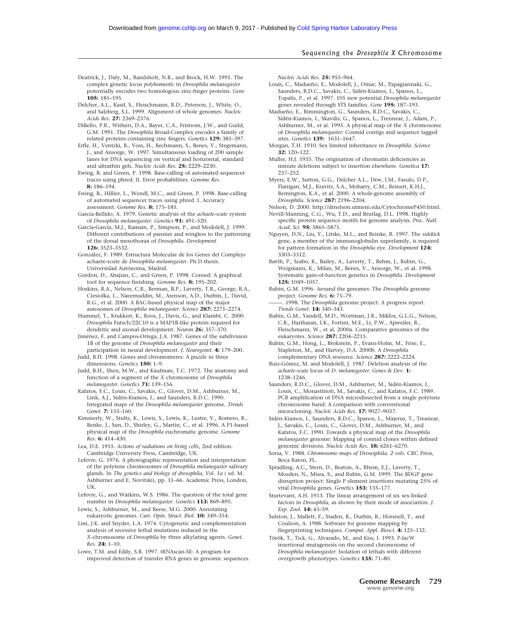- Deatrick, J., Daly, M., Randsholt, N.B., and Brock, H.W. 1991. The complex genetic locus *polyhomeotic* in *Drosophila melanogaster* potentially encodes two homologous zinc-finger proteins. *Gene* **105:** 185–195.
- Delcher, A.L., Kasif, S., Fleischmann, R.D., Peterson, J., White, O., and Salzberg, S.L. 1999. Alignment of whole genomes. *Nucleic Acids Res.* **27:** 2369–2376.
- DiBello, P.R., Withers, D.A., Bayer, C.A., Fristrom, J.W., and Guild, G.M. 1991. The *Drosophila* Broad-Complex encodes a family of related proteins containing zinc fingers. *Genetics* **129:** 385–397.
- Erfle, H., Ventzki, R., Voss, H., Rechmann, S., Benes, V., Stegemann, J., and Ansorge, W. 1997. Simultaneous loading of 200 sample lanes for DNA sequencing on vertical and horizontal, standard and ultrathin gels. *Nucleic Acids Res.* **25:** 2229–2230.
- Ewing, B. and Green, P. 1998. Base-calling of automated sequencer traces using phred. II. Error probabilities. *Genome Res.* **8:** 186–194.

Ewing, B., Hillier, L., Wendl, M.C., and Green, P. 1998. Base-calling of automated sequencer traces using phred. I. Accuracy assessment. *Genome Res.* **8:** 175–185.

- García-Bellido, A. 1979. Genetic analysis of the *achaete-scute* system of *Drosophila melanogaster. Genetics* **91:** 491–520.
- García-García, M.J., Ramain, P., Simpson, P., and Modolell, J. 1999. Different contributions of pannier and wingless to the patterning of the dorsal mesothorax of *Drosophila. Development* **126:** 3523–3532.
- González, F. 1989. Estructura Molecular de los Genes del Complejo achaete-scute de *Drosophila melanogaster.* Ph.D thesis. Universidad Autónoma, Madrid.
- Gordon, D., Abajian, C., and Green, P. 1998. Consed: A graphical tool for sequence finishing. *Genome Res.* **8:** 195–202.
- Hoskins, R.A., Nelson, C.R., Berman, B.P., Laverty, T.R., George, R.A., Ciesiolka, L., Naeemuddin, M., Arenson, A.D., Durbin, J., David, R.G., et al. 2000. A BAC-based physical map of the major autosomes of *Drosophila melanogaster. Science* **287:** 2271–2274.
- Hummel, T., Krukkert, K., Roos, J., Davis, G., and Klambt, C. 2000. *Drosophila* Futsch/22C10 is a MAP1B-like protein required for dendritic and axonal development. *Neuron* **26:** 357–370.
- Jiménez, F. and Campos-Ortega, J.A. 1987. Genes of the subdivision 1B of the genome of *Drosophila melanogaster* and their participation in neural development. *J. Neurogenet.* **4:** 179–200.
- Judd, B.H. 1998. Genes and chromomeres: A puzzle in three dimensions. *Genetics* **150:** 1–9.
- Judd, B.H., Shen, M.W., and Kaufman, T.C. 1972. The anatomy and function of a segment of the *X* chromosome of *Drosophila melanogaster. Genetics* **71:** 139–156.
- Kafatos, F.C., Louis, C., Savakis, C., Glover, D.M., Ashburner, M., Link, A.J., Sidén-Kiamos, I., and Saunders, R.D.C. 1990. Integrated maps of the *Drosophila melanogaster* genome. *Trends Genet.* **7:** 155–160.
- Kimmerly, W., Stultz, K., Lewis, S., Lewis, K., Lustre, V., Romero, R., Benke, J., Sun, D., Shirley, G., Martin, C., et al. 1996. A P1-based physical map of the *Drosophila* euchromatic genome. *Genome Res.* **6:** 414–430.
- Lea, D.E. 1955. *Actions of radiations on living cells*, 2nd edition. Cambridge University Press, Cambridge, UK.
- Lefevre, G. 1976. A photographic representation and interpretation of the polytene chromosomes of *Drosophila melanogaster* salivary glands. In *The genetics and biology of drosophila, Vol. 1a* (ed. M. Ashburner and E. Novitski), pp. 31–66. Academic Press, London, UK.
- Lefevre, G., and Watkins, W.S. 1986. The question of the total gene number in *Drosophila melanogaster. Genetics* **113:** 869–895.
- Lewis, S., Ashburner, M., and Reese, M.G. 2000. Annotating eukaryotic genomes. *Curr. Opin. Struct. Biol.* **10:** 349–354.
- Lim, J.K. and Snyder, L.A. 1974. Cytogenetic and complementation analysis of recessive lethal mutations induced in the *X*-chromosome of *Drosophila* by three alkylating agents. *Genet. Res.* **24:** 1–10.
- Lowe, T.M. and Eddy, S.R. 1997. tRNAscan-SE: A program for improved detection of transfer RNA genes in genomic sequences.

*Nucleic Acids Res.* **25:** 955–964.

- Louis, C., Madueño, E., Modolell, J., Omar, M., Papagiannaki, G., Saunders, R.D.C., Savakis, C., Sidén-Kiamos, I., Spanos, L., Topalis, P., et al. 1997. 105 new potential *Drosophila melanogaster* genes revealed through STS families. *Gene* **195:** 187–193.
- Madueño, E., Rimmington, G., Saunders, R.D.C., Savakis, C., Sidén-Kiamos, I., Skavdis, G., Spanos, L., Trennear, J., Adam, P., Ashburner, M., et al. 1995. A physical map of the *X* chromosome of *Drosophila melanogaster*: Cosmid contigs and sequence tagged sites. *Genetics* **139:** 1631–1647.
- Morgan, T.H. 1910. Sex limited inheritance in *Drosophila. Science* **32:** 120–122.
- Muller, H.J. 1935. The origination of chromatin deficiencies as minute deletions subject to insertion elsewhere. *Genetica* **17:** 237–252.
- Myers, E.W., Sutton, G.G., Delcher A.L., Dew, I.M., Fasulo, D.P., Flanigan, M.J., Kravitz, S.A., Mobarry, C.M., Reinert, K.H.J., Remington, K.A., et al. 2000. A whole-genome assembly of *Drosophila. Science* **287:** 2196–2204.
- Nelson, D. 2000. http://drnelson.utmem.edu/CytochromeP450.html.
- Nevill-Manning, C.G., Wu, T.D., and Brutlag, D.L. 1998. Highly specific protein sequence motifs for genome analysis. *Proc. Natl. Acad. Sci.* **95:** 5865–5871.
- Nguyen, D.N., Liu, Y., Litske, M.L., and Reinke, R. 1997. The *sidekick* gene, a member of the immunoglobulin superfamily, is required for pattern formation in the *Drosophila* eye. *Development* **124:** 3303–3312.
- Rørth, P., Szabo, K., Bailey, A., Laverty, T., Rehm, J., Rubin, G., Weigmann, K., Milan, M., Benes, V., Ansorge, W., et al. 1998. Systematic gain-of-function genetics in *Drosophila*. *Development* **125:** 1049–1057.
- Rubin, G.M. 1996. Around the genomes: The *Drosophila* genome project. *Genome Res.* **6:** 71–79.
- -. 1998. The *Drosophila* genome project: A progress report. *Trends Genet.* **14:** 340–343.
- Rubin, G.M., Yandell, M.D., Wortman, J.R., Miklos, G.L.G., Nelson, C.R., Hariharan, I.K., Fortini, M.E., Li, P.W., Apweiler, R., Fleischmann, W., et al. 2000a. Comparative genomics of the eukaryotes. *Science* **287:** 2204–2215.
- Rubin, G.M., Hong, L., Brokstein, P., Evans-Holm, M., Frise, E., Stapleton, M., and Harvey, D.A. 2000b. A *Drosophila* complementary DNA resource. *Science* **287:** 2222–2224.
- Ruiz-Go´mez, M. and Modolell, J. 1987. Deletion analysis of the *achaete*-*scute* locus of *D. melanogaster. Genes & Dev.* **1:** 1238–1246.
- Saunders, R.D.C., Glover, D.M., Ashburner, M., Sidén-Kiamos, I., Louis, C., Monastirioti, M., Savakis, C., and Kafatos, F.C. 1989. PCR amplification of DNA microdissected from a single polytene chromosome band: A comparison with conventional microcloning. *Nucleic Acids Res.* **17:** 9027–9037.
- Sidén-Kiamos, I., Saunders, R.D.C., Spanos, L., Majerus, T., Treanear, J., Savakis, C., Louis, C., Glover, D.M., Ashburner, M., and Kafatos, F.C. 1990. Towards a physical map of the *Drosophila melanogaster* genome: Mapping of cosmid clones within defined genomic divisions. *Nucleic Acids Res.* **18:** 6261–6270.
- Sorsa, V. 1988. *Chromosome maps of* Drosophila. *2vols*. CRC Press, Boca Raton, FL.
- Spradling, A.C., Stern, D., Beaton, A., Rhem, E.J., Laverty, T., Mozden, N., Misra, S., and Rubin, G.M. 1999. The BDGP gene disruption project: Single P element insertions mutating 25% of vital *Drosophila* genes. *Genetics* **153:** 135–177.
- Sturtevant, A.H. 1913. The linear arrangement of six sex-linked factors in *Drosophila*, as shown by their mode of association. *J. Exp. Zool.* **14:** 43–59.
- Sulston, J., Mallett, F., Staden, R., Durbin, R., Horsnell, T., and Coulson, A. 1988. Software for genome mapping by fingerprinting techniques. *Comput. Appl. Biosci.* **4:** 125–132.
- Török, T., Tick, G., Alvarado, M., and Kiss, I. 1993. P-lacW insertional mutagenesis on the second chromosome of *Drosophila melanogaster*: Isolation of lethals with different overgrowth phenotypes. *Genetics* **135:** 71–80.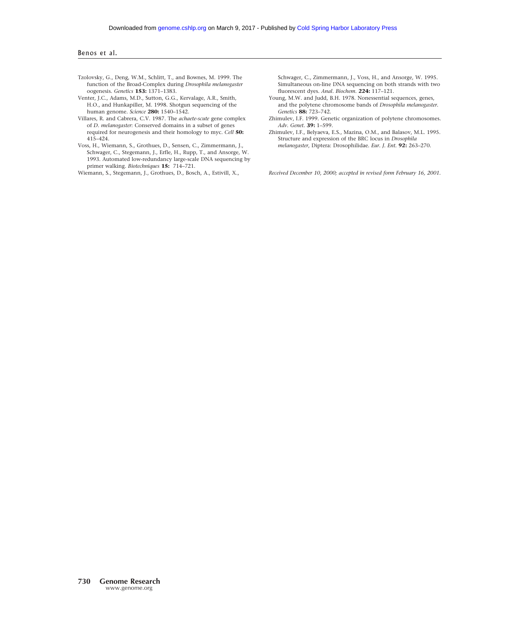- Tzolovsky, G., Deng, W.M., Schlitt, T., and Bownes, M. 1999. The function of the Broad-Complex during *Drosophila melanogaster* oogenesis. *Genetics* **153:** 1371–1383.
- Venter, J.C., Adams, M.D., Sutton, G.G., Kervalage, A.R., Smith, H.O., and Hunkapiller, M. 1998. Shotgun sequencing of the human genome. *Science* **280:** 1540–1542.
- Villares, R. and Cabrera, C.V. 1987. The *achaete*-*scute* gene complex of *D. melanogaster*: Conserved domains in a subset of genes required for neurogenesis and their homology to myc. *Cell* **50:** 415–424.
- Voss, H., Wiemann, S., Grothues, D., Sensen, C., Zimmermann, J., Schwager, C., Stegemann, J., Erfle, H., Rupp, T., and Ansorge, W. 1993. Automated low-redundancy large-scale DNA sequencing by primer walking. *Biotechniques* **15:** 714–721.

Wiemann, S., Stegemann, J., Grothues, D., Bosch, A., Estivill, X.,

Schwager, C., Zimmermann, J., Voss, H., and Ansorge, W. 1995. Simultaneous on-line DNA sequencing on both strands with two fluorescent dyes. *Anal. Biochem.* **224:** 117–121.

- Young, M.W. and Judd, B.H. 1978. Nonessential sequences, genes, and the polytene chromosome bands of *Drosophila melanogaster. Genetics* **88:** 723–742.
- Zhimulev, I.F. 1999. Genetic organization of polytene chromosomes. *Adv. Genet.* **39:** 1–599.
- Zhimulev, I.F., Belyaeva, E.S., Mazina, O.M., and Balasov, M.L. 1995. Structure and expression of the BRC locus in *Drosophila melanogaster*, Diptera: Drosophilidae*. Eur. J. Ent.* **92:** 263–270.

*Received December 10, 2000; accepted in revised form February 16, 2001.*